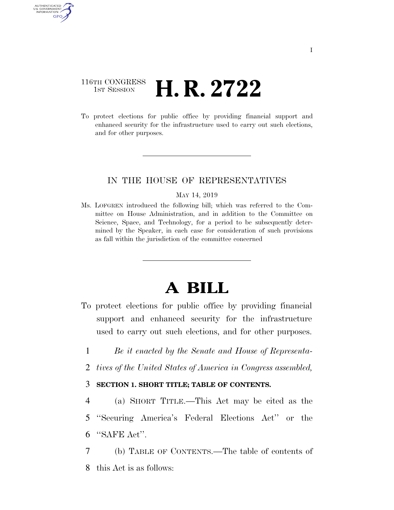## 116TH CONGRESS **1st Session H. R. 2722**

AUTHENTICATED U.S. GOVERNMENT GPO

> To protect elections for public office by providing financial support and enhanced security for the infrastructure used to carry out such elections, and for other purposes.

#### IN THE HOUSE OF REPRESENTATIVES

#### MAY 14, 2019

Ms. LOFGREN introduced the following bill; which was referred to the Committee on House Administration, and in addition to the Committee on Science, Space, and Technology, for a period to be subsequently determined by the Speaker, in each case for consideration of such provisions as fall within the jurisdiction of the committee concerned

# **A BILL**

- To protect elections for public office by providing financial support and enhanced security for the infrastructure used to carry out such elections, and for other purposes.
	- 1 *Be it enacted by the Senate and House of Representa-*
	- 2 *tives of the United States of America in Congress assembled,*

#### 3 **SECTION 1. SHORT TITLE; TABLE OF CONTENTS.**

4 (a) SHORT TITLE.—This Act may be cited as the 5 ''Securing America's Federal Elections Act'' or the 6 ''SAFE Act''.

7 (b) TABLE OF CONTENTS.—The table of contents of 8 this Act is as follows: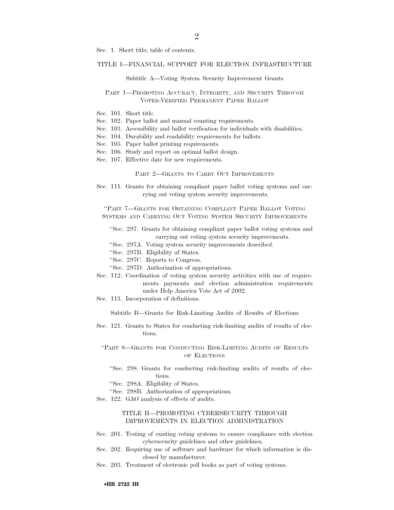Sec. 1. Short title; table of contents.

#### TITLE I—FINANCIAL SUPPORT FOR ELECTION INFRASTRUCTURE

Subtitle A—Voting System Security Improvement Grants

#### PART 1-PROMOTING ACCURACY, INTEGRITY, AND SECURITY THROUGH VOTER-VERIFIED PERMANENT PAPER BALLOT

- Sec. 101. Short title.
- Sec. 102. Paper ballot and manual counting requirements.
- Sec. 103. Accessibility and ballot verification for individuals with disabilities.
- Sec. 104. Durability and readability requirements for ballots.
- Sec. 105. Paper ballot printing requirements.
- Sec. 106. Study and report on optimal ballot design.
- Sec. 107. Effective date for new requirements.

#### PART 2—GRANTS TO CARRY OUT IMPROVEMENTS

Sec. 111. Grants for obtaining compliant paper ballot voting systems and carrying out voting system security improvements.

''PART 7—GRANTS FOR OBTAINING COMPLIANT PAPER BALLOT VOTING SYSTEMS AND CARRYING OUT VOTING SYSTEM SECURITY IMPROVEMENTS

- ''Sec. 297. Grants for obtaining compliant paper ballot voting systems and carrying out voting system security improvements.
- ''Sec. 297A. Voting system security improvements described.
- ''Sec. 297B. Eligibility of States.
- ''Sec. 297C. Reports to Congress.
- ''Sec. 297D. Authorization of appropriations.
- Sec. 112. Coordination of voting system security activities with use of requirements payments and election administration requirements under Help America Vote Act of 2002.
- Sec. 113. Incorporation of definitions.

Subtitle B—Grants for Risk-Limiting Audits of Results of Elections

Sec. 121. Grants to States for conducting risk-limiting audits of results of elections.

''PART 8—GRANTS FOR CONDUCTING RISK-LIMITING AUDITS OF RESULTS OF ELECTIONS

- ''Sec. 298. Grants for conducting risk-limiting audits of results of elections.
- ''Sec. 298A. Eligibility of States.
- ''Sec. 298B. Authorization of appropriations.
- Sec. 122. GAO analysis of effects of audits.

#### TITLE II—PROMOTING CYBERSECURITY THROUGH IMPROVEMENTS IN ELECTION ADMINISTRATION

- Sec. 201. Testing of existing voting systems to ensure compliance with election cybersecurity guidelines and other guidelines.
- Sec. 202. Requiring use of software and hardware for which information is disclosed by manufacturer.
- Sec. 203. Treatment of electronic poll books as part of voting systems.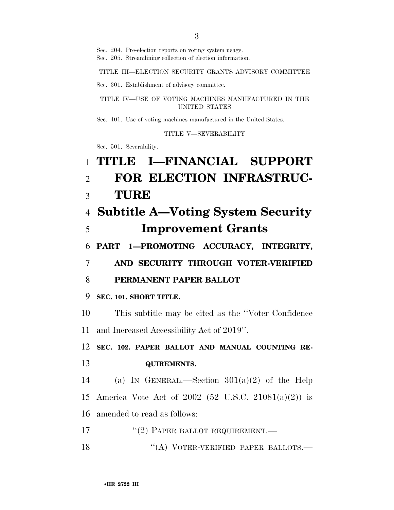Sec. 204. Pre-election reports on voting system usage.

Sec. 205. Streamlining collection of election information.

TITLE III—ELECTION SECURITY GRANTS ADVISORY COMMITTEE

Sec. 301. Establishment of advisory committee.

TITLE IV—USE OF VOTING MACHINES MANUFACTURED IN THE UNITED STATES

Sec. 401. Use of voting machines manufactured in the United States.

TITLE V—SEVERABILITY

Sec. 501. Severability.

 **TITLE I—FINANCIAL SUPPORT FOR ELECTION INFRASTRUC-**3 **TURE Subtitle A—Voting System Security Improvement Grants PART 1—PROMOTING ACCURACY, INTEGRITY, AND SECURITY THROUGH VOTER-VERIFIED PERMANENT PAPER BALLOT SEC. 101. SHORT TITLE.**  This subtitle may be cited as the ''Voter Confidence and Increased Accessibility Act of 2019''. **SEC. 102. PAPER BALLOT AND MANUAL COUNTING RE- QUIREMENTS.**  14 (a) IN GENERAL.—Section  $301(a)(2)$  of the Help America Vote Act of 2002 (52 U.S.C. 21081(a)(2)) is amended to read as follows: 17 <sup>"</sup>(2) PAPER BALLOT REQUIREMENT. 18 "(A) VOTER-VERIFIED PAPER BALLOTS.—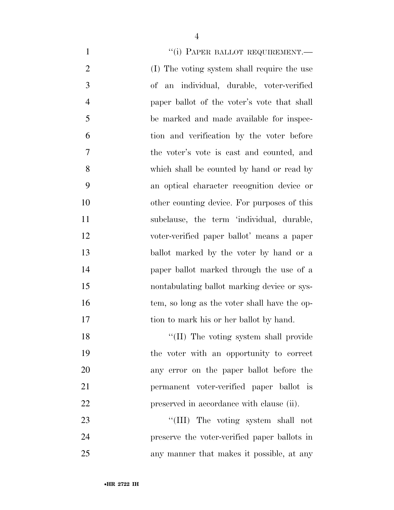| $\mathbf{1}$   | "(i) PAPER BALLOT REQUIREMENT.—              |
|----------------|----------------------------------------------|
| $\overline{2}$ | (I) The voting system shall require the use  |
| 3              | of an individual, durable, voter-verified    |
| $\overline{4}$ | paper ballot of the voter's vote that shall  |
| 5              | be marked and made available for inspec-     |
| 6              | tion and verification by the voter before    |
| 7              | the voter's vote is east and counted, and    |
| 8              | which shall be counted by hand or read by    |
| 9              | an optical character recognition device or   |
| 10             | other counting device. For purposes of this  |
| 11             | subclause, the term 'individual, durable,    |
| 12             | voter-verified paper ballot' means a paper   |
| 13             | ballot marked by the voter by hand or a      |
| 14             | paper ballot marked through the use of a     |
| 15             | nontabulating ballot marking device or sys-  |
| 16             | tem, so long as the voter shall have the op- |
| 17             | tion to mark his or her ballot by hand.      |
| 18             | "(II) The voting system shall provide        |
| 19             | the voter with an opportunity to correct     |
| 20             | any error on the paper ballot before the     |
| 21             | permanent voter-verified paper ballot is     |
| 22             | preserved in accordance with clause (ii).    |
| 23             | "(III) The voting system shall not           |
| 24             | preserve the voter-verified paper ballots in |
| 25             | any manner that makes it possible, at any    |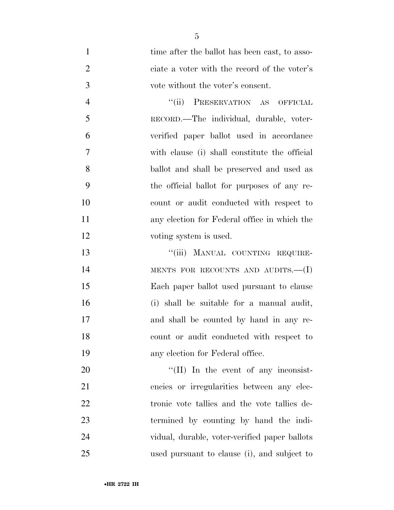|   | time after the ballot has been cast, to asso- |
|---|-----------------------------------------------|
|   | ciate a voter with the record of the voter's  |
| 3 | vote without the voter's consent.             |

 ''(ii) PRESERVATION AS OFFICIAL RECORD.—The individual, durable, voter- verified paper ballot used in accordance with clause (i) shall constitute the official ballot and shall be preserved and used as the official ballot for purposes of any re- count or audit conducted with respect to any election for Federal office in which the 12 voting system is used.

13 "(iii) MANUAL COUNTING REQUIRE-14 MENTS FOR RECOUNTS AND AUDITS.—(I) Each paper ballot used pursuant to clause (i) shall be suitable for a manual audit, and shall be counted by hand in any re- count or audit conducted with respect to any election for Federal office.

 $\frac{1}{20}$  In the event of any inconsist- encies or irregularities between any elec- tronic vote tallies and the vote tallies de- termined by counting by hand the indi- vidual, durable, voter-verified paper ballots used pursuant to clause (i), and subject to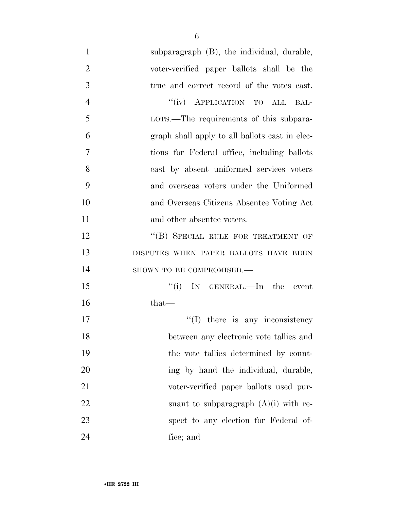subparagraph (B), the individual, durable, voter-verified paper ballots shall be the true and correct record of the votes cast. 4 "(iv) APPLICATION TO ALL BAL- LOTS.—The requirements of this subpara- graph shall apply to all ballots cast in elec- tions for Federal office, including ballots cast by absent uniformed services voters and overseas voters under the Uniformed and Overseas Citizens Absentee Voting Act 11 and other absentee voters. 12 "(B) SPECIAL RULE FOR TREATMENT OF DISPUTES WHEN PAPER BALLOTS HAVE BEEN 14 SHOWN TO BE COMPROMISED.— 15 ''(i) IN GENERAL.—In the event that— 17 ''(I) there is any inconsistency between any electronic vote tallies and the vote tallies determined by count-20 ing by hand the individual, durable, voter-verified paper ballots used pur-22 suant to subparagraph  $(A)(i)$  with re- spect to any election for Federal of-fice; and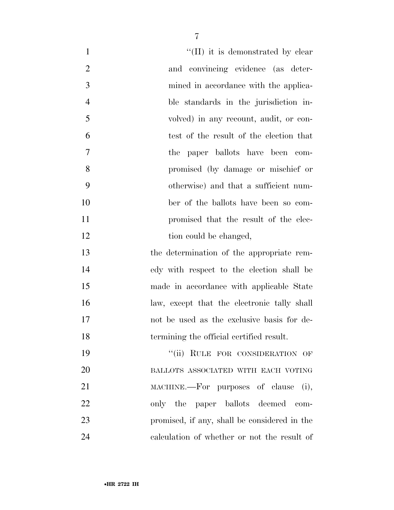| $\mathbf{1}$   | $\lq\lq$ (II) it is demonstrated by clear    |
|----------------|----------------------------------------------|
| $\overline{2}$ | and convincing evidence (as deter-           |
| 3              | mined in accordance with the applica-        |
| $\overline{4}$ | ble standards in the jurisdiction in-        |
| 5              | volved) in any recount, audit, or con-       |
| 6              | test of the result of the election that      |
| $\overline{7}$ | the paper ballots have been com-             |
| 8              | promised (by damage or mischief or           |
| 9              | otherwise) and that a sufficient num-        |
| 10             | ber of the ballots have been so com-         |
| 11             | promised that the result of the elec-        |
| 12             | tion could be changed,                       |
| 13             | the determination of the appropriate rem-    |
| 14             | edy with respect to the election shall be    |
| 15             | made in accordance with applicable State     |
| 16             | law, except that the electronic tally shall  |
| 17             | not be used as the exclusive basis for de-   |
| 18             | termining the official certified result.     |
| 19             | "(ii) RULE FOR CONSIDERATION OF              |
| 20             | BALLOTS ASSOCIATED WITH EACH VOTING          |
| 21             | MACHINE.—For purposes of clause (i),         |
| 22             | only the paper ballots deemed com-           |
| 23             | promised, if any, shall be considered in the |
| 24             | calculation of whether or not the result of  |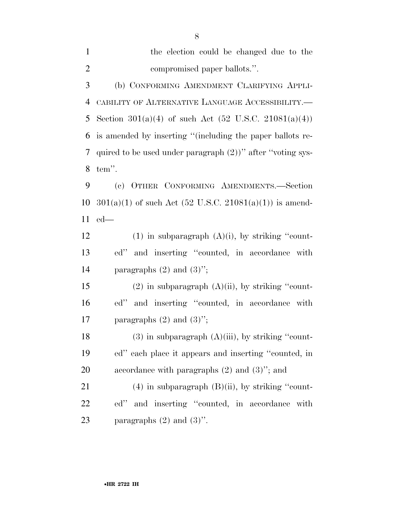| $\mathbf{1}$   | the election could be changed due to the                           |
|----------------|--------------------------------------------------------------------|
| $\overline{2}$ | compromised paper ballots.".                                       |
| 3              | (b) CONFORMING AMENDMENT CLARIFYING APPLI-                         |
| $\overline{4}$ | CABILITY OF ALTERNATIVE LANGUAGE ACCESSIBILITY.-                   |
| 5              | Section $301(a)(4)$ of such Act (52 U.S.C. 21081(a)(4))            |
| 6              | is amended by inserting "(including the paper ballots re-          |
| 7              | quired to be used under paragraph $(2)$ )" after "voting sys-      |
| 8              | tem".                                                              |
| 9              | OTHER CONFORMING AMENDMENTS.-Section<br>$\left( \mathrm{e}\right)$ |
| 10             | $301(a)(1)$ of such Act (52 U.S.C. 21081(a)(1)) is amend-          |
| 11             | $ed$ —                                                             |
| 12             | $(1)$ in subparagraph $(A)(i)$ , by striking "count-               |
| 13             | ed" and inserting "counted, in accordance with                     |
| 14             | paragraphs $(2)$ and $(3)$ ";                                      |
| 15             | $(2)$ in subparagraph $(A)(ii)$ , by striking "count-              |
| 16             | and inserting "counted, in accordance with<br>ed"                  |
| 17             | paragraphs $(2)$ and $(3)$ ";                                      |
| 1 <sub>O</sub> | $(9)$ in expression model $(A)(22)$ be striking $(6)$              |

18 (3) in subparagraph  $(A)(iii)$ , by striking "count- ed'' each place it appears and inserting ''counted, in 20 accordance with paragraphs (2) and (3)"; and

 (4) in subparagraph (B)(ii), by striking ''count- ed'' and inserting ''counted, in accordance with 23 paragraphs  $(2)$  and  $(3)$ ".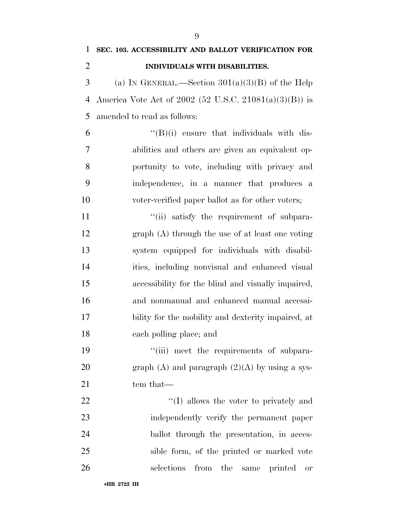| 1              | SEC. 103. ACCESSIBILITY AND BALLOT VERIFICATION FOR    |
|----------------|--------------------------------------------------------|
| $\overline{2}$ | INDIVIDUALS WITH DISABILITIES.                         |
| 3              | (a) IN GENERAL.—Section $301(a)(3)(B)$ of the Help     |
| 4              | America Vote Act of 2002 (52 U.S.C. 21081(a)(3)(B)) is |
| 5              | amended to read as follows:                            |
| 6              | $\lq\lq(B)(i)$ ensure that individuals with dis-       |
| 7              | abilities and others are given an equivalent op-       |
| 8              | portunity to vote, including with privacy and          |
| 9              | independence, in a manner that produces a              |
| 10             | voter-verified paper ballot as for other voters;       |
| 11             | "(ii) satisfy the requirement of subpara-              |
| 12             | $graph(A)$ through the use of at least one voting      |
| 13             | system equipped for individuals with disabil-          |
| 14             | ities, including nonvisual and enhanced visual         |
| 15             | accessibility for the blind and visually impaired,     |
| 16             | and nonmanual and enhanced manual accessi-             |
| 17             | bility for the mobility and dexterity impaired, at     |
| 18             | each polling place; and                                |
| 19             | "(iii) meet the requirements of subpara-               |
| 20             | graph $(A)$ and paragraph $(2)(A)$ by using a sys-     |
| 21             | tem that—                                              |
| 22             | "(I) allows the voter to privately and                 |
| 23             | independently verify the permanent paper               |
| 24             | ballot through the presentation, in acces-             |
| 25             | sible form, of the printed or marked vote              |
| 26             | selections<br>from<br>same printed<br>the<br><b>or</b> |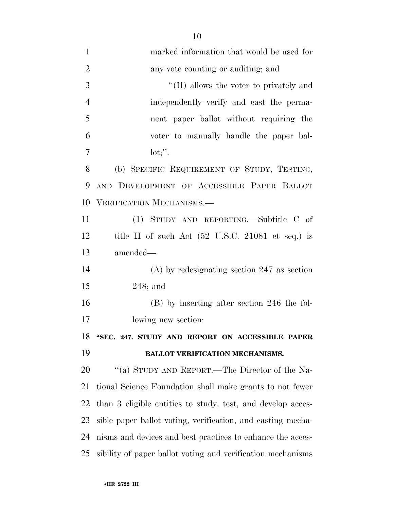| $\mathbf{1}$   | marked information that would be used for                            |
|----------------|----------------------------------------------------------------------|
| $\overline{2}$ | any vote counting or auditing; and                                   |
| 3              | "(II) allows the voter to privately and                              |
| $\overline{4}$ | independently verify and cast the perma-                             |
| 5              | nent paper ballot without requiring the                              |
| 6              | voter to manually handle the paper bal-                              |
| 7              | $\mathrm{lot};$ ".                                                   |
| 8              | (b) SPECIFIC REQUIREMENT OF STUDY, TESTING,                          |
| 9              | AND DEVELOPMENT OF ACCESSIBLE PAPER BALLOT                           |
| 10             | VERIFICATION MECHANISMS.-                                            |
| 11             | (1) STUDY AND REPORTING.—Subtitle C of                               |
| 12             | title II of such Act $(52 \text{ U.S.C. } 21081 \text{ et seq.})$ is |
| 13             | amended-                                                             |
| 14             | $(A)$ by redesignating section 247 as section                        |
| 15             | $248$ ; and                                                          |
| 16             | $(B)$ by inserting after section 246 the fol-                        |
| 17             | lowing new section:                                                  |
| 18             | "SEC. 247. STUDY AND REPORT ON ACCESSIBLE PAPER                      |
|                |                                                                      |

### **BALLOT VERIFICATION MECHANISMS.**

20 "(a) STUDY AND REPORT.—The Director of the Na- tional Science Foundation shall make grants to not fewer than 3 eligible entities to study, test, and develop acces- sible paper ballot voting, verification, and casting mecha- nisms and devices and best practices to enhance the acces-sibility of paper ballot voting and verification mechanisms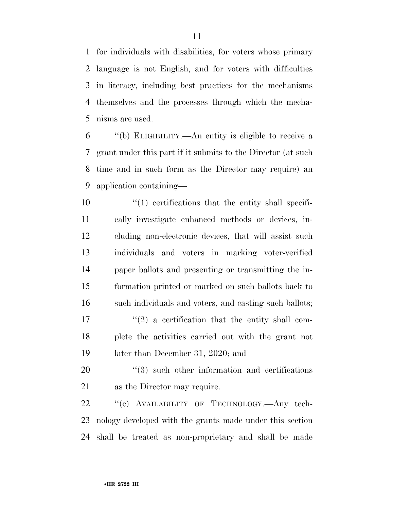for individuals with disabilities, for voters whose primary language is not English, and for voters with difficulties in literacy, including best practices for the mechanisms themselves and the processes through which the mecha-nisms are used.

 ''(b) ELIGIBILITY.—An entity is eligible to receive a grant under this part if it submits to the Director (at such time and in such form as the Director may require) an application containing—

 $(1)$  certifications that the entity shall specifi- cally investigate enhanced methods or devices, in- cluding non-electronic devices, that will assist such individuals and voters in marking voter-verified paper ballots and presenting or transmitting the in- formation printed or marked on such ballots back to such individuals and voters, and casting such ballots;  $\frac{17}{2}$  ''(2) a certification that the entity shall com-

 plete the activities carried out with the grant not later than December 31, 2020; and

20  $\frac{u(3)}{2}$  such other information and certifications as the Director may require.

22 "(c) AVAILABILITY OF TECHNOLOGY.—Any tech- nology developed with the grants made under this section shall be treated as non-proprietary and shall be made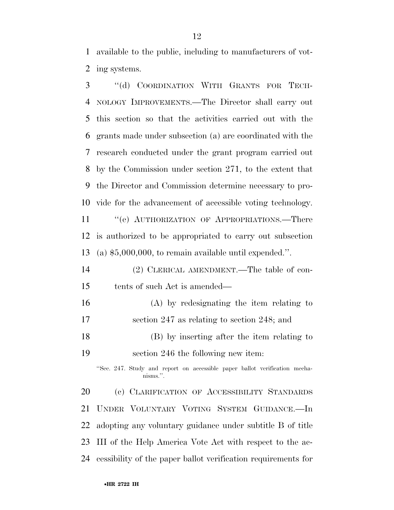available to the public, including to manufacturers of vot-ing systems.

 ''(d) COORDINATION WITH GRANTS FOR TECH- NOLOGY IMPROVEMENTS.—The Director shall carry out this section so that the activities carried out with the grants made under subsection (a) are coordinated with the research conducted under the grant program carried out by the Commission under section 271, to the extent that the Director and Commission determine necessary to pro- vide for the advancement of accessible voting technology. 11 "(e) AUTHORIZATION OF APPROPRIATIONS.—There is authorized to be appropriated to carry out subsection (a) \$5,000,000, to remain available until expended.''. (2) CLERICAL AMENDMENT.—The table of con- tents of such Act is amended— (A) by redesignating the item relating to section 247 as relating to section 248; and (B) by inserting after the item relating to section 246 the following new item: ''Sec. 247. Study and report on accessible paper ballot verification mechanisms.''. (c) CLARIFICATION OF ACCESSIBILITY STANDARDS UNDER VOLUNTARY VOTING SYSTEM GUIDANCE.—In adopting any voluntary guidance under subtitle B of title III of the Help America Vote Act with respect to the ac-

cessibility of the paper ballot verification requirements for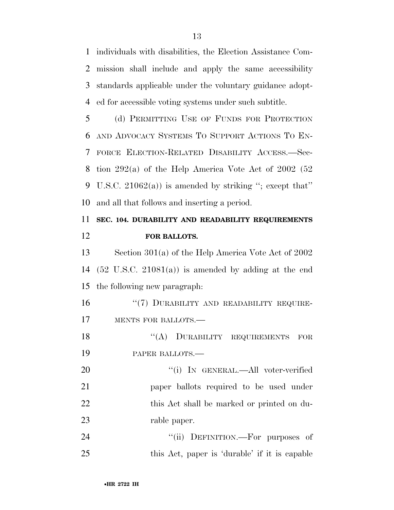individuals with disabilities, the Election Assistance Com- mission shall include and apply the same accessibility standards applicable under the voluntary guidance adopt-ed for accessible voting systems under such subtitle.

 (d) PERMITTING USE OF FUNDS FOR PROTECTION AND ADVOCACY SYSTEMS TO SUPPORT ACTIONS TO EN- FORCE ELECTION-RELATED DISABILITY ACCESS.—Sec- tion 292(a) of the Help America Vote Act of 2002 (52 9 U.S.C.  $21062(a)$  is amended by striking "; except that" and all that follows and inserting a period.

## **SEC. 104. DURABILITY AND READABILITY REQUIREMENTS FOR BALLOTS.**

 Section 301(a) of the Help America Vote Act of 2002 14  $(52 \text{ U.S.C. } 21081(a))$  is amended by adding at the end the following new paragraph:

16 "(7) DURABILITY AND READABILITY REQUIRE-MENTS FOR BALLOTS.—

18 "(A) DURABILITY REQUIREMENTS FOR PAPER BALLOTS.—

20 "(i) IN GENERAL.—All voter-verified paper ballots required to be used under 22 this Act shall be marked or printed on du-rable paper.

24  $(ii)$  DEFINITION.—For purposes of this Act, paper is 'durable' if it is capable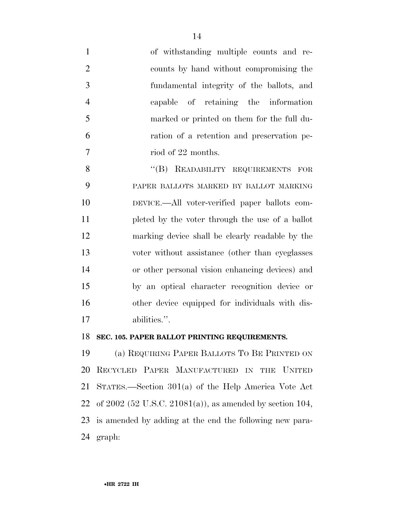of withstanding multiple counts and re- counts by hand without compromising the fundamental integrity of the ballots, and capable of retaining the information marked or printed on them for the full du- ration of a retention and preservation pe-riod of 22 months.

8 "(B) READABILITY REQUIREMENTS FOR PAPER BALLOTS MARKED BY BALLOT MARKING DEVICE.—All voter-verified paper ballots com- pleted by the voter through the use of a ballot marking device shall be clearly readable by the voter without assistance (other than eyeglasses or other personal vision enhancing devices) and by an optical character recognition device or other device equipped for individuals with dis-abilities.''.

#### **SEC. 105. PAPER BALLOT PRINTING REQUIREMENTS.**

 (a) REQUIRING PAPER BALLOTS TO BE PRINTED ON RECYCLED PAPER MANUFACTURED IN THE UNITED STATES.—Section 301(a) of the Help America Vote Act of 2002 (52 U.S.C. 21081(a)), as amended by section 104, is amended by adding at the end the following new para-graph: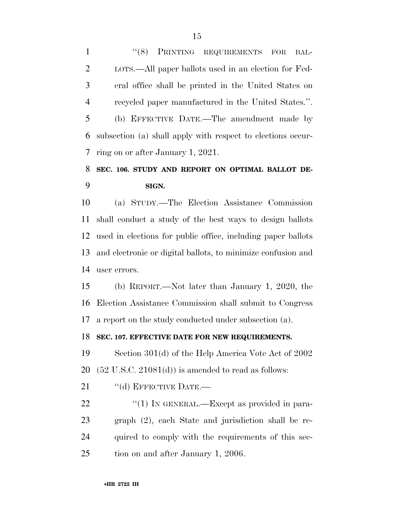1 ''(8) PRINTING REQUIREMENTS FOR BAL- LOTS.—All paper ballots used in an election for Fed- eral office shall be printed in the United States on recycled paper manufactured in the United States.''. (b) EFFECTIVE DATE.—The amendment made by subsection (a) shall apply with respect to elections occur-ring on or after January 1, 2021.

## **SEC. 106. STUDY AND REPORT ON OPTIMAL BALLOT DE-SIGN.**

 (a) STUDY.—The Election Assistance Commission shall conduct a study of the best ways to design ballots used in elections for public office, including paper ballots and electronic or digital ballots, to minimize confusion and user errors.

 (b) REPORT.—Not later than January 1, 2020, the Election Assistance Commission shall submit to Congress a report on the study conducted under subsection (a).

#### **SEC. 107. EFFECTIVE DATE FOR NEW REQUIREMENTS.**

 Section 301(d) of the Help America Vote Act of 2002 20  $(52 \text{ U.S.C. } 21081(d))$  is amended to read as follows:

21 "(d) EFFECTIVE DATE.—

 $\frac{4}{1}$  IN GENERAL.—Except as provided in para- graph (2), each State and jurisdiction shall be re- quired to comply with the requirements of this sec-25 tion on and after January 1, 2006.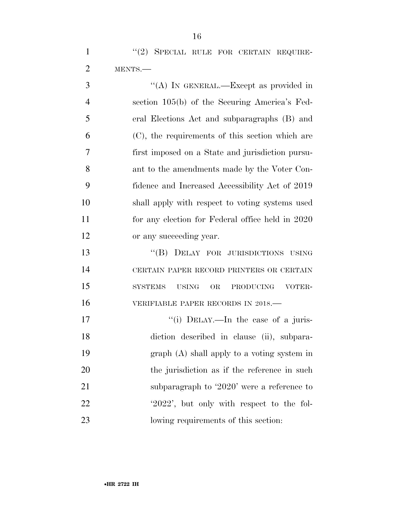1 "(2) SPECIAL RULE FOR CERTAIN REQUIRE-MENTS.—

 $\cdot$  (A) In GENERAL.—Except as provided in section 105(b) of the Securing America's Fed- eral Elections Act and subparagraphs (B) and (C), the requirements of this section which are first imposed on a State and jurisdiction pursu- ant to the amendments made by the Voter Con- fidence and Increased Accessibility Act of 2019 shall apply with respect to voting systems used for any election for Federal office held in 2020 or any succeeding year.

13 "(B) DELAY FOR JURISDICTIONS USING CERTAIN PAPER RECORD PRINTERS OR CERTAIN SYSTEMS USING OR PRODUCING VOTER-VERIFIABLE PAPER RECORDS IN 2018.—

17 ''(i) DELAY.—In the case of a juris- diction described in clause (ii), subpara- graph (A) shall apply to a voting system in 20 the jurisdiction as if the reference in such subparagraph to '2020' were a reference to 22 '2022', but only with respect to the fol-lowing requirements of this section: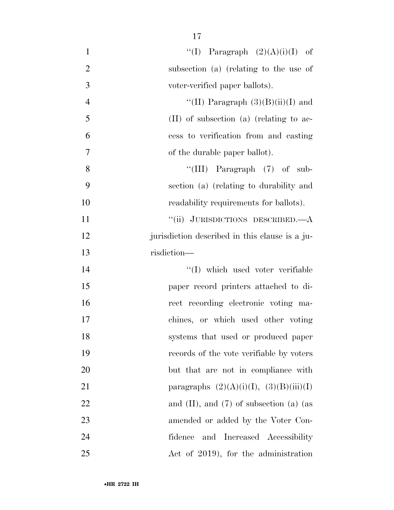| $\mathbf{1}$   | "(I) Paragraph $(2)(A)(i)(I)$ of               |
|----------------|------------------------------------------------|
| $\overline{2}$ | subsection (a) (relating to the use of         |
| 3              | voter-verified paper ballots).                 |
| $\overline{4}$ | "(II) Paragraph $(3)(B)(ii)(I)$ and            |
| 5              | $(II)$ of subsection $(a)$ (relating to ac-    |
| 6              | cess to verification from and casting          |
| $\overline{7}$ | of the durable paper ballot).                  |
| 8              | "(III) Paragraph $(7)$ of sub-                 |
| 9              | section (a) (relating to durability and        |
| 10             | readability requirements for ballots).         |
| 11             | "(ii) JURISDICTIONS DESCRIBED.—A               |
| 12             | jurisdiction described in this clause is a ju- |
| 13             | risdiction-                                    |
| 14             | "(I) which used voter verifiable               |
| 15             | paper record printers attached to di-          |
| 16             | rect recording electronic voting ma-           |
| 17             | chines, or which used other voting             |
| 18             | systems that used or produced paper            |
| 19             | records of the vote verifiable by voters       |
| 20             | but that are not in compliance with            |
| 21             | paragraphs $(2)(A)(i)(I), (3)(B)(iii)(I)$      |
| 22             | and $(II)$ , and $(7)$ of subsection $(a)$ (as |
| 23             | amended or added by the Voter Con-             |
| 24             | and Increased Accessibility<br>fidence         |
| 25             | Act of 2019), for the administration           |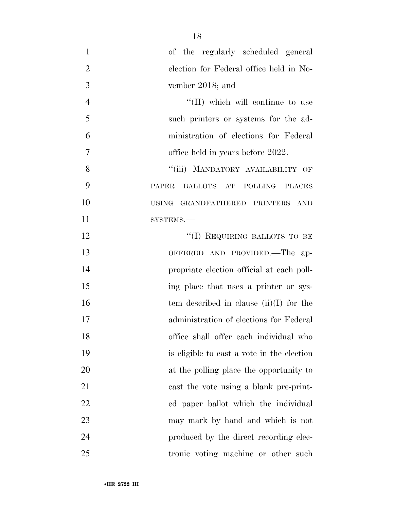of the regularly scheduled general election for Federal office held in No- vember 2018; and  $\text{``(II)}$  which will continue to use such printers or systems for the ad- ministration of elections for Federal 7 office held in years before 2022. 8 "(iii) MANDATORY AVAILABILITY OF PAPER BALLOTS AT POLLING PLACES USING GRANDFATHERED PRINTERS AND 11 SYSTEMS.— 12 "(I) REQUIRING BALLOTS TO BE OFFERED AND PROVIDED.—The ap- propriate election official at each poll- ing place that uses a printer or sys-16 tem described in clause (ii)(I) for the administration of elections for Federal office shall offer each individual who is eligible to cast a vote in the election at the polling place the opportunity to cast the vote using a blank pre-print- ed paper ballot which the individual may mark by hand and which is not

**produced by the direct recording elec**-tronic voting machine or other such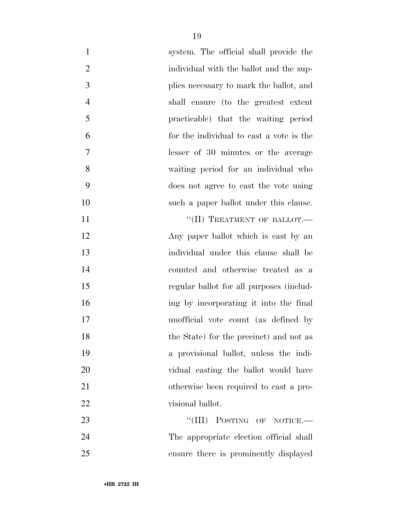| $\mathbf{1}$   | system. The official shall provide the   |
|----------------|------------------------------------------|
| $\overline{2}$ | individual with the ballot and the sup-  |
| 3              | plies necessary to mark the ballot, and  |
| $\overline{4}$ | shall ensure (to the greatest extent     |
| 5              | practicable) that the waiting period     |
| 6              | for the individual to cast a vote is the |
| 7              | lesser of 30 minutes or the average      |
| 8              | waiting period for an individual who     |
| 9              | does not agree to cast the vote using    |
| 10             | such a paper ballot under this clause.   |
| 11             | "(II) TREATMENT OF BALLOT.-              |
| 12             | Any paper ballot which is east by an     |
| 13             | individual under this clause shall be    |
| 14             | counted and otherwise treated as a       |
| 15             | regular ballot for all purposes (includ- |
| 16             | ing by incorporating it into the final   |
| 17             | unofficial vote count (as defined by     |
| 18             | the State) for the precinct) and not as  |
| 19             | a provisional ballot, unless the indi-   |
| 20             | vidual casting the ballot would have     |
| 21             | otherwise been required to cast a pro-   |
| 22             | visional ballot.                         |
| 23             | "(III) POSTING OF NOTICE.-               |
| 24             | The appropriate election official shall  |
| 25             | ensure there is prominently displayed    |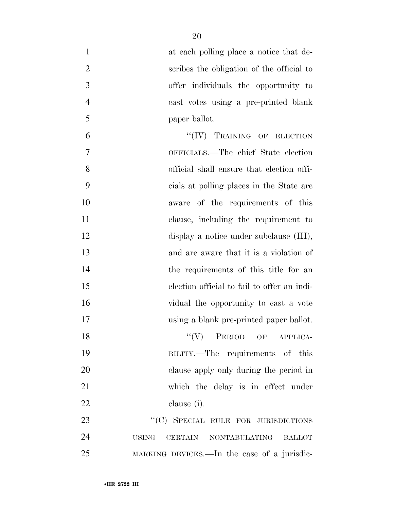| $\mathbf{1}$     | at each polling place a notice that de-                |
|------------------|--------------------------------------------------------|
| $\overline{2}$   | scribes the obligation of the official to              |
| 3                | offer individuals the opportunity to                   |
| $\overline{4}$   | cast votes using a pre-printed blank                   |
| 5                | paper ballot.                                          |
| 6                | "(IV) TRAINING OF ELECTION                             |
| $\boldsymbol{7}$ | OFFICIALS.—The chief State election                    |
| 8                | official shall ensure that election offi-              |
| 9                | cials at polling places in the State are               |
| 10               | aware of the requirements of this                      |
| 11               | clause, including the requirement to                   |
| 12               | display a notice under subclause $(III)$ ,             |
| 13               | and are aware that it is a violation of                |
| 14               | the requirements of this title for an                  |
| 15               | election official to fail to offer an indi-            |
| 16               | vidual the opportunity to cast a vote                  |
| 17               | using a blank pre-printed paper ballot.                |
| 18               | $``(V)$ PERIOD OF APPLICA-                             |
| 19               | BILITY.—The requirements of this                       |
| 20               | clause apply only during the period in                 |
| 21               | which the delay is in effect under                     |
| 22               | clause (i).                                            |
| 23               | "(C) SPECIAL RULE FOR JURISDICTIONS                    |
| 24               | <b>USING</b><br>CERTAIN NONTABULATING<br><b>BALLOT</b> |
| 25               | MARKING DEVICES.—In the case of a jurisdic-            |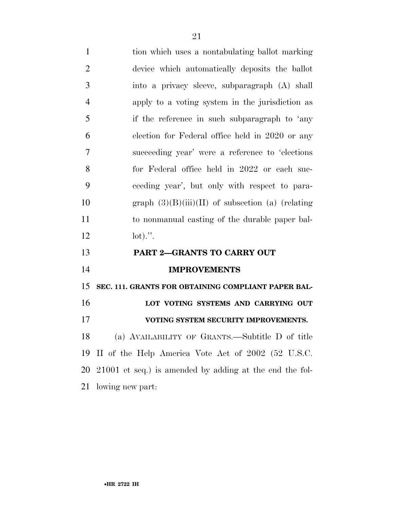tion which uses a nontabulating ballot marking device which automatically deposits the ballot into a privacy sleeve, subparagraph (A) shall apply to a voting system in the jurisdiction as if the reference in such subparagraph to 'any election for Federal office held in 2020 or any succeeding year' were a reference to 'elections for Federal office held in 2022 or each suc- ceeding year', but only with respect to para-10 graph  $(3)(B)(iii)(II)$  of subsection (a) (relating to nonmanual casting of the durable paper bal-12 lot).". **PART 2—GRANTS TO CARRY OUT IMPROVEMENTS SEC. 111. GRANTS FOR OBTAINING COMPLIANT PAPER BAL- LOT VOTING SYSTEMS AND CARRYING OUT VOTING SYSTEM SECURITY IMPROVEMENTS.**  (a) AVAILABILITY OF GRANTS.—Subtitle D of title II of the Help America Vote Act of 2002 (52 U.S.C. 21001 et seq.) is amended by adding at the end the fol-lowing new part: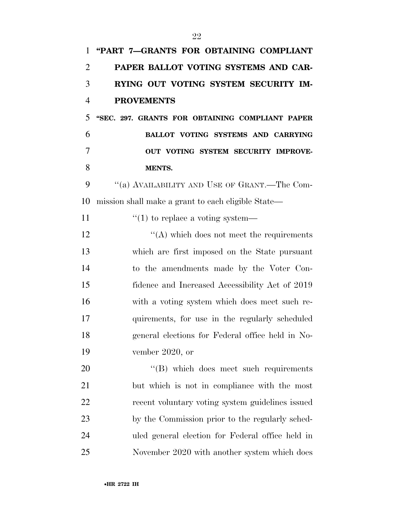| $\mathbf{1}$   | "PART 7-GRANTS FOR OBTAINING COMPLIANT             |
|----------------|----------------------------------------------------|
| $\overline{2}$ | PAPER BALLOT VOTING SYSTEMS AND CAR-               |
| 3              | RYING OUT VOTING SYSTEM SECURITY IM-               |
| $\overline{4}$ | <b>PROVEMENTS</b>                                  |
| 5              | "SEC. 297. GRANTS FOR OBTAINING COMPLIANT PAPER    |
| 6              | BALLOT VOTING SYSTEMS AND CARRYING                 |
| 7              | OUT VOTING SYSTEM SECURITY IMPROVE-                |
| 8              | <b>MENTS.</b>                                      |
| 9              | "(a) AVAILABILITY AND USE OF GRANT.—The Com-       |
| 10             | mission shall make a grant to each eligible State— |
| 11             | $\cdot\cdot(1)$ to replace a voting system—        |
| 12             | $\lq\lq$ which does not meet the requirements      |
| 13             | which are first imposed on the State pursuant      |
| 14             | to the amendments made by the Voter Con-           |
| 15             | fidence and Increased Accessibility Act of 2019    |
| 16             | with a voting system which does meet such re-      |
| 17             | quirements, for use in the regularly scheduled     |
| 18             | general elections for Federal office held in No-   |
| 19             | vember $2020$ , or                                 |
| 20             | "(B) which does meet such requirements             |
| 21             | but which is not in compliance with the most       |
| 22             | recent voluntary voting system guidelines issued   |
| 23             | by the Commission prior to the regularly sched-    |
| 24             | uled general election for Federal office held in   |
| 25             | November 2020 with another system which does       |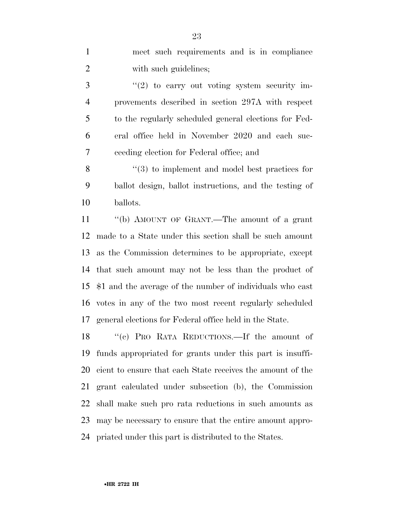2 with such guidelines; ''(2) to carry out voting system security im- provements described in section 297A with respect to the regularly scheduled general elections for Fed- eral office held in November 2020 and each suc- ceeding election for Federal office; and 8 "(3) to implement and model best practices for ballot design, ballot instructions, and the testing of ballots. ''(b) AMOUNT OF GRANT.—The amount of a grant made to a State under this section shall be such amount as the Commission determines to be appropriate, except that such amount may not be less than the product of \$1 and the average of the number of individuals who cast votes in any of the two most recent regularly scheduled general elections for Federal office held in the State. ''(c) PRO RATA REDUCTIONS.—If the amount of funds appropriated for grants under this part is insuffi- cient to ensure that each State receives the amount of the grant calculated under subsection (b), the Commission shall make such pro rata reductions in such amounts as may be necessary to ensure that the entire amount appro-

priated under this part is distributed to the States.

meet such requirements and is in compliance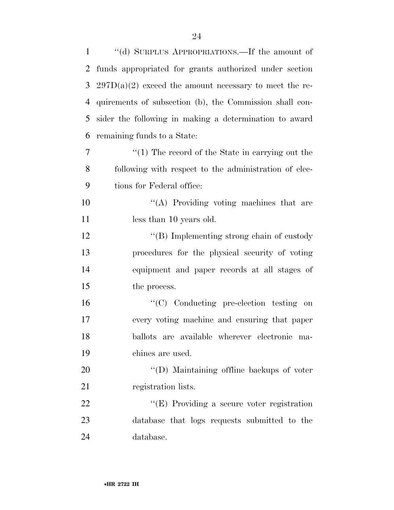| $\mathbf{1}$ | "(d) SURPLUS APPROPRIATIONS.—If the amount of            |
|--------------|----------------------------------------------------------|
| 2            | funds appropriated for grants authorized under section   |
| 3            | $297D(a)(2)$ exceed the amount necessary to meet the re- |
| 4            | quirements of subsection (b), the Commission shall con-  |
| 5            | sider the following in making a determination to award   |
| 6            | remaining funds to a State:                              |
| 7            | $\lq(1)$ The record of the State in carrying out the     |
| $8\,$        | following with respect to the administration of elec-    |
| 9            | tions for Federal office:                                |
| 10           | "(A) Providing voting machines that are                  |
| 11           | less than 10 years old.                                  |
| 12           | $\lq\lq$ (B) Implementing strong chain of custody        |
| 13           | procedures for the physical security of voting           |
| 14           | equipment and paper records at all stages of             |
| 15           | the process.                                             |
| 16           | $``(C)$ Conducting pre-election testing on               |
| 17           | every voting machine and ensuring that paper             |
| 18           | ballots are available wherever electronic ma-            |
| 19           | chines are used.                                         |
| 20           | "(D) Maintaining offline backups of voter                |
| 21           | registration lists.                                      |
| 22           | "(E) Providing a secure voter registration               |
| 23           | database that logs requests submitted to the             |
| 24           | database.                                                |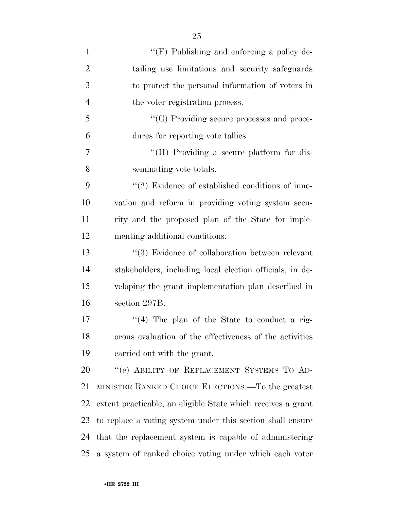| $\mathbf{1}$   | $\lq\lq(F)$ Publishing and enforcing a policy de-            |
|----------------|--------------------------------------------------------------|
| $\overline{2}$ | tailing use limitations and security safeguards              |
| 3              | to protect the personal information of voters in             |
| $\overline{4}$ | the voter registration process.                              |
| 5              | "(G) Providing secure processes and proce-                   |
| 6              | dures for reporting vote tallies.                            |
| 7              | "(H) Providing a secure platform for dis-                    |
| 8              | seminating vote totals.                                      |
| 9              | $\lq(2)$ Evidence of established conditions of inno-         |
| 10             | vation and reform in providing voting system secu-           |
| 11             | rity and the proposed plan of the State for imple-           |
| 12             | menting additional conditions.                               |
| 13             | $\lq(3)$ Evidence of collaboration between relevant          |
| 14             | stakeholders, including local election officials, in de-     |
| 15             | veloping the grant implementation plan described in          |
| 16             | section 297B.                                                |
| 17             | $\lq(4)$ The plan of the State to conduct a rig-             |
| 18             | orous evaluation of the effectiveness of the activities      |
| 19             | carried out with the grant.                                  |
| 20             | "(e) ABILITY OF REPLACEMENT SYSTEMS TO AD-                   |
| 21             | MINISTER RANKED CHOICE ELECTIONS.—To the greatest            |
| 22             | extent practicable, an eligible State which receives a grant |
| 23             | to replace a voting system under this section shall ensure   |
| 24             | that the replacement system is capable of administering      |
| 25             | a system of ranked choice voting under which each voter      |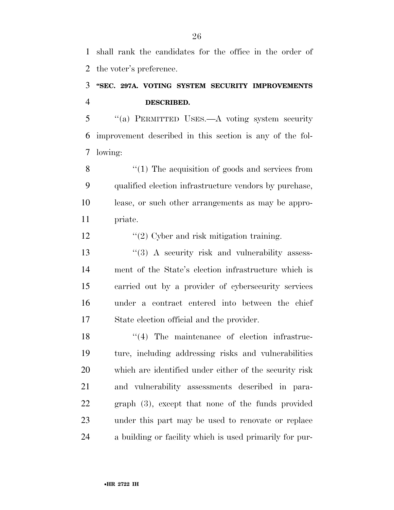shall rank the candidates for the office in the order of the voter's preference.

## **''SEC. 297A. VOTING SYSTEM SECURITY IMPROVEMENTS DESCRIBED.**

 ''(a) PERMITTED USES.—A voting system security improvement described in this section is any of the fol-lowing:

8 "(1) The acquisition of goods and services from qualified election infrastructure vendors by purchase, lease, or such other arrangements as may be appro-priate.

12 ''(2) Cyber and risk mitigation training.

13 ''(3) A security risk and vulnerability assess- ment of the State's election infrastructure which is carried out by a provider of cybersecurity services under a contract entered into between the chief State election official and the provider.

18 ''(4) The maintenance of election infrastruc- ture, including addressing risks and vulnerabilities which are identified under either of the security risk and vulnerability assessments described in para- graph (3), except that none of the funds provided under this part may be used to renovate or replace a building or facility which is used primarily for pur-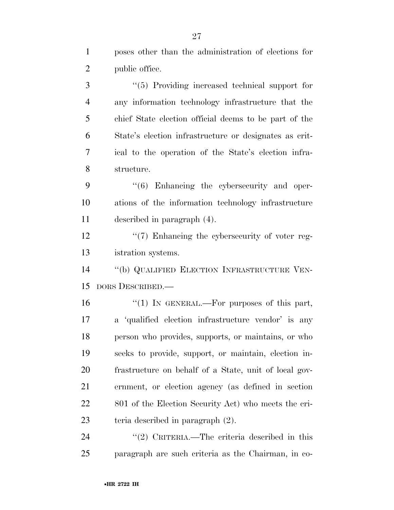poses other than the administration of elections for public office. ''(5) Providing increased technical support for any information technology infrastructure that the chief State election official deems to be part of the State's election infrastructure or designates as crit- ical to the operation of the State's election infra- structure. ''(6) Enhancing the cybersecurity and oper- ations of the information technology infrastructure described in paragraph (4).  $\frac{1}{2}$  (7) Enhancing the cybersecurity of voter reg- istration systems. ''(b) QUALIFIED ELECTION INFRASTRUCTURE VEN- DORS DESCRIBED.—  $\frac{1}{10}$  IN GENERAL.—For purposes of this part, a 'qualified election infrastructure vendor' is any person who provides, supports, or maintains, or who seeks to provide, support, or maintain, election in- frastructure on behalf of a State, unit of local gov- ernment, or election agency (as defined in section 22 801 of the Election Security Act) who meets the cri- teria described in paragraph (2). 24 "(2) CRITERIA.—The criteria described in this

paragraph are such criteria as the Chairman, in co-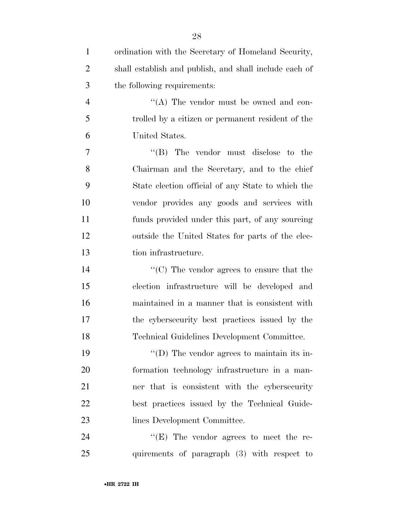| $\mathbf{1}$   | ordination with the Secretary of Homeland Security,    |
|----------------|--------------------------------------------------------|
| $\overline{2}$ | shall establish and publish, and shall include each of |
| 3              | the following requirements:                            |
| $\overline{4}$ | "(A) The vendor must be owned and con-                 |
| 5              | trolled by a citizen or permanent resident of the      |
| 6              | United States.                                         |
| $\tau$         | $\lq\lq$ . The vendor must disclose to the             |
| 8              | Chairman and the Secretary, and to the chief           |
| 9              | State election official of any State to which the      |
| 10             | vendor provides any goods and services with            |
| 11             | funds provided under this part, of any sourcing        |
| 12             | outside the United States for parts of the elec-       |
| 13             | tion infrastructure.                                   |
| 14             | " $(C)$ The vendor agrees to ensure that the           |
| 15             | election infrastructure will be developed and          |
| 16             | maintained in a manner that is consistent with         |
| 17             | the cybersecurity best practices issued by the         |
| 18             | Technical Guidelines Development Committee.            |
| 19             | $\lq\lq$ (D) The vendor agrees to maintain its in-     |
| 20             | formation technology infrastructure in a man-          |
| 21             | ner that is consistent with the cybersecurity          |
| 22             | best practices issued by the Technical Guide-          |
| 23             | lines Development Committee.                           |
| 24             | "(E) The vendor agrees to meet the re-                 |
| 25             | quirements of paragraph (3) with respect to            |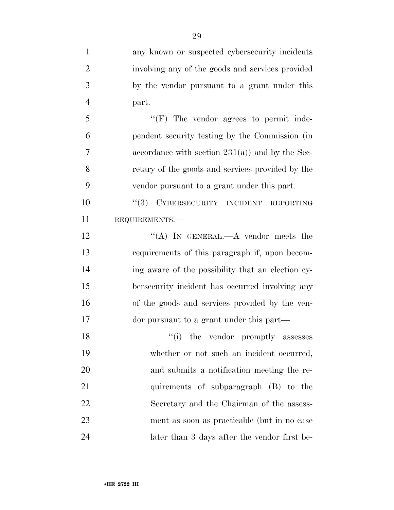| $\mathbf{1}$   | any known or suspected cybersecurity incidents    |
|----------------|---------------------------------------------------|
| $\overline{2}$ | involving any of the goods and services provided  |
| 3              | by the vendor pursuant to a grant under this      |
| $\overline{4}$ | part.                                             |
| 5              | $"$ (F) The vendor agrees to permit inde-         |
| 6              | pendent security testing by the Commission (in    |
| 7              | accordance with section $231(a)$ and by the Sec-  |
| 8              | retary of the goods and services provided by the  |
| 9              | vendor pursuant to a grant under this part.       |
| 10             | "(3) CYBERSECURITY INCIDENT<br><b>REPORTING</b>   |
| 11             | REQUIREMENTS.                                     |
| 12             | "(A) IN GENERAL.—A vendor meets the               |
| 13             | requirements of this paragraph if, upon becom-    |
| 14             | ing aware of the possibility that an election cy- |
| 15             | bersecurity incident has occurred involving any   |
| 16             | of the goods and services provided by the ven-    |
| 17             | dor pursuant to a grant under this part—          |
| 18             | "(i) the vendor promptly assesses                 |
| 19             | whether or not such an incident occurred,         |
| 20             | and submits a notification meeting the re-        |
| 21             | quirements of subparagraph (B) to the             |
| 22             | Secretary and the Chairman of the assess-         |
| 23             | ment as soon as practicable (but in no case       |
| 24             | later than 3 days after the vendor first be-      |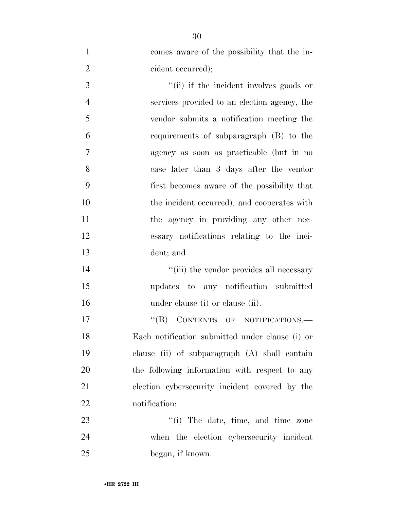| $\mathbf{1}$   | comes aware of the possibility that the in-     |
|----------------|-------------------------------------------------|
| $\overline{2}$ | cident occurred);                               |
| 3              | "(ii) if the incident involves goods or         |
| $\overline{4}$ | services provided to an election agency, the    |
| 5              | vendor submits a notification meeting the       |
| 6              | requirements of subparagraph (B) to the         |
| 7              | agency as soon as practicable (but in no        |
| 8              | case later than 3 days after the vendor         |
| 9              | first becomes aware of the possibility that     |
| 10             | the incident occurred), and cooperates with     |
| 11             | the agency in providing any other nec-          |
| 12             | essary notifications relating to the inci-      |
| 13             | dent; and                                       |
| 14             | "(iii) the vendor provides all necessary        |
| 15             | updates to any notification submitted           |
| 16             | under clause (i) or clause (ii).                |
| 17             | CONTENTS OF NOTIFICATIONS.<br>$\lq\lq (B)$      |
| 18             | Each notification submitted under clause (i) or |
| 19             | clause (ii) of subparagraph (A) shall contain   |
| 20             | the following information with respect to any   |
| 21             | election cybersecurity incident covered by the  |
| 22             | notification:                                   |
| 23             | $f(i)$ The date, time, and time zone            |
| 24             | when the election cybersecurity incident        |

began, if known.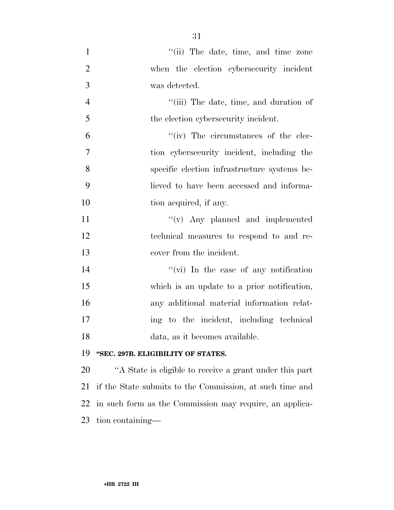- 1 ''(ii) The date, time, and time zone when the election cybersecurity incident was detected. 4 ''(iii) The date, time, and duration of 5 the election cybersecurity incident.  $''(iv)$  The circumstances of the elec- tion cybersecurity incident, including the specific election infrastructure systems be- lieved to have been accessed and informa-10 tion acquired, if any. 11  $''(v)$  Any planned and implemented technical measures to respond to and re- cover from the incident. 14  $''(vi)$  In the case of any notification which is an update to a prior notification, any additional material information relat- ing to the incident, including technical data, as it becomes available. **''SEC. 297B. ELIGIBILITY OF STATES.**  ''A State is eligible to receive a grant under this part if the State submits to the Commission, at such time and in such form as the Commission may require, an applica-
- tion containing—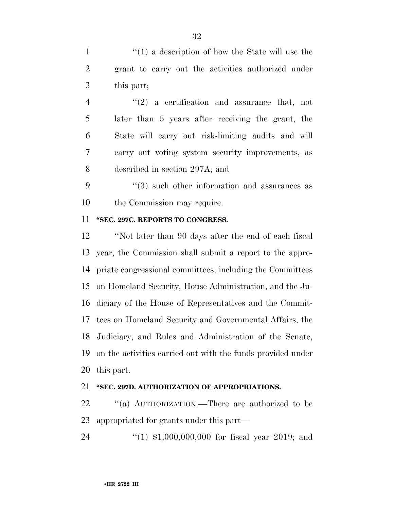1 ''(1) a description of how the State will use the grant to carry out the activities authorized under this part;

 ''(2) a certification and assurance that, not later than 5 years after receiving the grant, the State will carry out risk-limiting audits and will carry out voting system security improvements, as described in section 297A; and

9 ''(3) such other information and assurances as the Commission may require.

#### **''SEC. 297C. REPORTS TO CONGRESS.**

 ''Not later than 90 days after the end of each fiscal year, the Commission shall submit a report to the appro- priate congressional committees, including the Committees on Homeland Security, House Administration, and the Ju- diciary of the House of Representatives and the Commit- tees on Homeland Security and Governmental Affairs, the Judiciary, and Rules and Administration of the Senate, on the activities carried out with the funds provided under this part.

#### **''SEC. 297D. AUTHORIZATION OF APPROPRIATIONS.**

22 "(a) AUTHORIZATION.—There are authorized to be appropriated for grants under this part—

''(1) \$1,000,000,000 for fiscal year 2019; and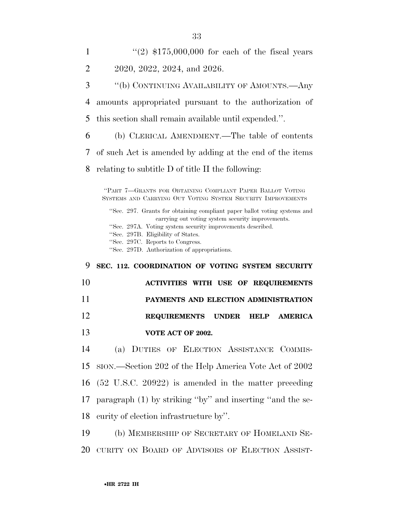| 1              | " $(2)$ \$175,000,000 for each of the fiscal years                                                                                                                                                                                                                                                                     |
|----------------|------------------------------------------------------------------------------------------------------------------------------------------------------------------------------------------------------------------------------------------------------------------------------------------------------------------------|
| $\overline{2}$ | 2020, 2022, 2024, and 2026.                                                                                                                                                                                                                                                                                            |
| 3              | "(b) CONTINUING AVAILABILITY OF AMOUNTS.—Any                                                                                                                                                                                                                                                                           |
| 4              | amounts appropriated pursuant to the authorization of                                                                                                                                                                                                                                                                  |
| 5              | this section shall remain available until expended.".                                                                                                                                                                                                                                                                  |
| 6              | (b) CLERICAL AMENDMENT.—The table of contents                                                                                                                                                                                                                                                                          |
| 7              | of such Act is amended by adding at the end of the items                                                                                                                                                                                                                                                               |
| 8              | relating to subtitle D of title II the following:                                                                                                                                                                                                                                                                      |
|                | "PART 7-GRANTS FOR OBTAINING COMPLIANT PAPER BALLOT VOTING<br>SYSTEMS AND CARRYING OUT VOTING SYSTEM SECURITY IMPROVEMENTS                                                                                                                                                                                             |
|                | "Sec. 297. Grants for obtaining compliant paper ballot voting systems and<br>carrying out voting system security improvements.<br>"Sec. 297A. Voting system security improvements described.<br>"Sec. 297B. Eligibility of States.<br>"Sec. 297C. Reports to Congress.<br>"Sec. 297D. Authorization of appropriations. |
|                |                                                                                                                                                                                                                                                                                                                        |
| 9              | SEC. 112. COORDINATION OF VOTING SYSTEM SECURITY                                                                                                                                                                                                                                                                       |
| 10             | <b>ACTIVITIES WITH USE OF REQUIREMENTS</b>                                                                                                                                                                                                                                                                             |
| 11             | PAYMENTS AND ELECTION ADMINISTRATION                                                                                                                                                                                                                                                                                   |
|                | <b>REQUIREMENTS</b><br><b>AMERICA</b><br><b>UNDER</b><br><b>HELP</b>                                                                                                                                                                                                                                                   |
| 12<br>13       | <b>VOTE ACT OF 2002</b>                                                                                                                                                                                                                                                                                                |
| 14             | (a) DUTIES OF ELECTION ASSISTANCE COMMIS-                                                                                                                                                                                                                                                                              |
| 15             | SION.—Section 202 of the Help America Vote Act of 2002                                                                                                                                                                                                                                                                 |
| 16             | $(52 \text{ U.S.C. } 20922)$ is amended in the matter preceding                                                                                                                                                                                                                                                        |
| 17             | paragraph (1) by striking "by" and inserting "and the se-                                                                                                                                                                                                                                                              |
| 18             | curity of election infrastructure by".                                                                                                                                                                                                                                                                                 |

CURITY ON BOARD OF ADVISORS OF ELECTION ASSIST-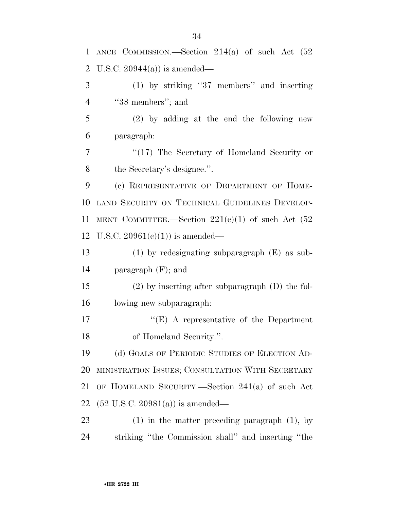| 1  | ANCE COMMISSION.—Section $214(a)$ of such Act $(52)$ |
|----|------------------------------------------------------|
| 2  | U.S.C. $20944(a)$ is amended—                        |
| 3  | $(1)$ by striking "37 members" and inserting         |
| 4  | "38 members"; and                                    |
| 5  | $(2)$ by adding at the end the following new         |
| 6  | paragraph:                                           |
| 7  | "(17) The Secretary of Homeland Security or          |
| 8  | the Secretary's designee.".                          |
| 9  | (c) REPRESENTATIVE OF DEPARTMENT OF HOME-            |
| 10 | LAND SECURITY ON TECHNICAL GUIDELINES DEVELOP-       |
| 11 |                                                      |
|    | MENT COMMITTEE.—Section $221(e)(1)$ of such Act (52  |
| 12 | U.S.C. $20961(e)(1)$ is amended—                     |
| 13 | $(1)$ by redesignating subparagraph $(E)$ as sub-    |
| 14 | paragraph $(F)$ ; and                                |
| 15 | $(2)$ by inserting after subparagraph $(D)$ the fol- |
| 16 | lowing new subparagraph:                             |
| 17 | " $(E)$ A representative of the Department           |
| 18 | of Homeland Security.".                              |
| 19 | (d) GOALS OF PERIODIC STUDIES OF ELECTION AD-        |
| 20 | MINISTRATION ISSUES; CONSULTATION WITH SECRETARY     |
| 21 | OF HOMELAND SECURITY.—Section $241(a)$ of such Act   |
| 22 | $(52 \text{ U.S.C. } 20981(a))$ is amended—          |
| 23 | $(1)$ in the matter preceding paragraph $(1)$ , by   |
|    |                                                      |
| 24 | striking "the Commission shall" and inserting "the   |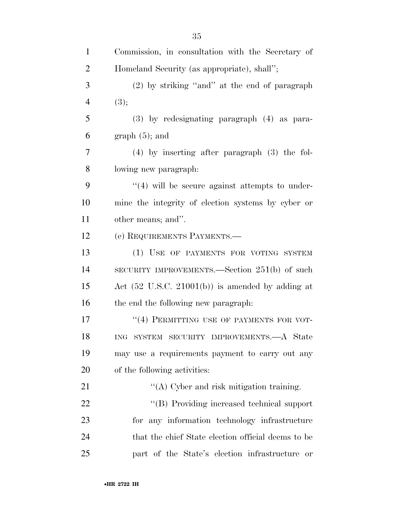| $\mathbf{1}$   | Commission, in consultation with the Secretary of           |
|----------------|-------------------------------------------------------------|
| $\overline{2}$ | Homeland Security (as appropriate), shall";                 |
| 3              | $(2)$ by striking "and" at the end of paragraph             |
| $\overline{4}$ | (3);                                                        |
| 5              | $(3)$ by redesignating paragraph $(4)$ as para-             |
| 6              | $graph(5)$ ; and                                            |
| 7              | $(4)$ by inserting after paragraph $(3)$ the fol-           |
| 8              | lowing new paragraph:                                       |
| 9              | $\lq(4)$ will be secure against attempts to under-          |
| 10             | mine the integrity of election systems by cyber or          |
| 11             | other means; and".                                          |
| 12             | (e) REQUIREMENTS PAYMENTS.—                                 |
| 13             | (1) USE OF PAYMENTS FOR VOTING SYSTEM                       |
| 14             | SECURITY IMPROVEMENTS.—Section $251(b)$ of such             |
| 15             | Act $(52 \text{ U.S.C. } 21001(b))$ is amended by adding at |
| 16             | the end the following new paragraph:                        |
| 17             | "(4) PERMITTING USE OF PAYMENTS FOR VOT-                    |
| 18             | SYSTEM SECURITY IMPROVEMENTS.—A State<br>ING                |
| 19             | may use a requirements payment to carry out any             |
| 20             | of the following activities:                                |
| 21             | $\lq\lq$ Cyber and risk mitigation training.                |
| 22             | "(B) Providing increased technical support                  |
| 23             | for any information technology infrastructure               |
| 24             | that the chief State election official deems to be          |
| 25             | part of the State's election infrastructure or              |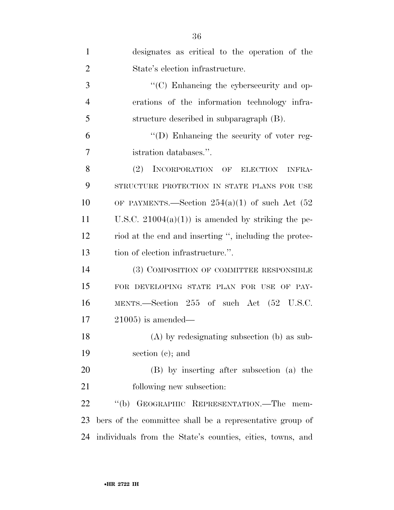| $\mathbf{1}$   | designates as critical to the operation of the            |
|----------------|-----------------------------------------------------------|
| $\overline{2}$ | State's election infrastructure.                          |
| 3              | "(C) Enhancing the cybersecurity and op-                  |
| $\overline{4}$ | erations of the information technology infra-             |
| 5              | structure described in subparagraph (B).                  |
| 6              | $\lq\lq$ (D) Enhancing the security of voter reg-         |
| $\overline{7}$ | istration databases.".                                    |
| 8              | (2) INCORPORATION OF ELECTION<br><b>INFRA-</b>            |
| 9              | STRUCTURE PROTECTION IN STATE PLANS FOR USE               |
| 10             | OF PAYMENTS.—Section $254(a)(1)$ of such Act (52)         |
| 11             | U.S.C. $21004(a)(1)$ is amended by striking the pe-       |
| 12             | riod at the end and inserting ", including the protec-    |
| 13             | tion of election infrastructure.".                        |
| 14             | (3) COMPOSITION OF COMMITTEE RESPONSIBLE                  |
| 15             | FOR DEVELOPING STATE PLAN FOR USE OF PAY-                 |
| 16             | MENTS.—Section 255 of such Act (52 U.S.C.                 |
| 17             | $(21005)$ is amended—                                     |
| 18             | $(A)$ by redesignating subsection (b) as sub-             |
| 19             | section $(c)$ ; and                                       |
| 20             | (B) by inserting after subsection (a) the                 |
| 21             | following new subsection:                                 |
| 22             | $\lq (b)$<br>GEOGRAPHIC REPRESENTATION.—The mem-          |
| 23             | bers of the committee shall be a representative group of  |
| 24             | individuals from the State's counties, cities, towns, and |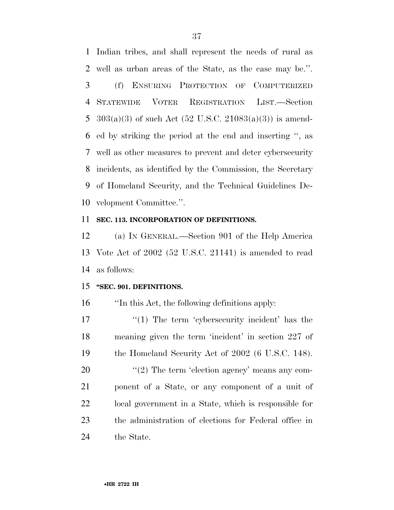Indian tribes, and shall represent the needs of rural as well as urban areas of the State, as the case may be.''. (f) ENSURING PROTECTION OF COMPUTERIZED STATEWIDE VOTER REGISTRATION LIST.—Section  $303(a)(3)$  of such Act  $(52 \text{ U.S.C. } 21083(a)(3))$  is amend- ed by striking the period at the end and inserting '', as well as other measures to prevent and deter cybersecurity incidents, as identified by the Commission, the Secretary of Homeland Security, and the Technical Guidelines De-velopment Committee.''.

#### **SEC. 113. INCORPORATION OF DEFINITIONS.**

 (a) IN GENERAL.—Section 901 of the Help America Vote Act of 2002 (52 U.S.C. 21141) is amended to read as follows:

#### **''SEC. 901. DEFINITIONS.**

''In this Act, the following definitions apply:

17 ''(1) The term 'cybersecurity incident' has the meaning given the term 'incident' in section 227 of the Homeland Security Act of 2002 (6 U.S.C. 148).

 $\frac{1}{2}$  The term 'election agency' means any com- ponent of a State, or any component of a unit of local government in a State, which is responsible for the administration of elections for Federal office in the State.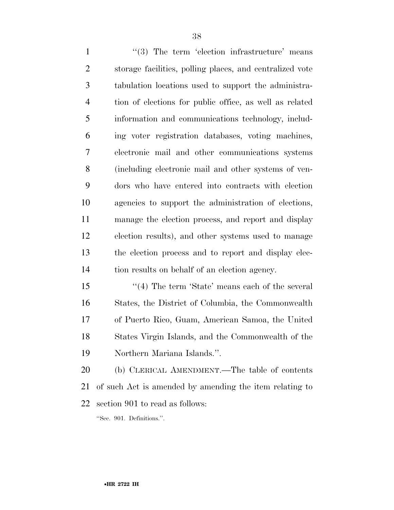1 ''(3) The term 'election infrastructure' means storage facilities, polling places, and centralized vote tabulation locations used to support the administra- tion of elections for public office, as well as related information and communications technology, includ- ing voter registration databases, voting machines, electronic mail and other communications systems (including electronic mail and other systems of ven- dors who have entered into contracts with election agencies to support the administration of elections, manage the election process, and report and display election results), and other systems used to manage the election process and to report and display elec-tion results on behalf of an election agency.

15 ''(4) The term 'State' means each of the several States, the District of Columbia, the Commonwealth of Puerto Rico, Guam, American Samoa, the United States Virgin Islands, and the Commonwealth of the Northern Mariana Islands.''.

 (b) CLERICAL AMENDMENT.—The table of contents of such Act is amended by amending the item relating to section 901 to read as follows:

''Sec. 901. Definitions.''.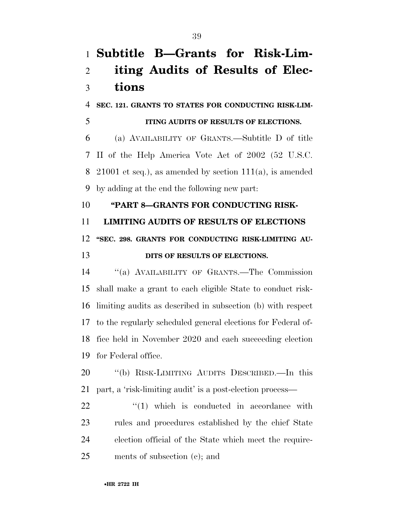# **Subtitle B—Grants for Risk-Lim- iting Audits of Results of Elec-tions**

**SEC. 121. GRANTS TO STATES FOR CONDUCTING RISK-LIM-**

### **ITING AUDITS OF RESULTS OF ELECTIONS.**

 (a) AVAILABILITY OF GRANTS.—Subtitle D of title II of the Help America Vote Act of 2002 (52 U.S.C. 8 21001 et seq.), as amended by section  $111(a)$ , is amended by adding at the end the following new part:

### **''PART 8—GRANTS FOR CONDUCTING RISK-**

**LIMITING AUDITS OF RESULTS OF ELECTIONS** 

### **''SEC. 298. GRANTS FOR CONDUCTING RISK-LIMITING AU-**

#### **DITS OF RESULTS OF ELECTIONS.**

 ''(a) AVAILABILITY OF GRANTS.—The Commission shall make a grant to each eligible State to conduct risk- limiting audits as described in subsection (b) with respect to the regularly scheduled general elections for Federal of- fice held in November 2020 and each succeeding election for Federal office.

 ''(b) RISK-LIMITING AUDITS DESCRIBED.—In this part, a 'risk-limiting audit' is a post-election process—

 $\frac{1}{2}$  (1) which is conducted in accordance with rules and procedures established by the chief State election official of the State which meet the require-ments of subsection (c); and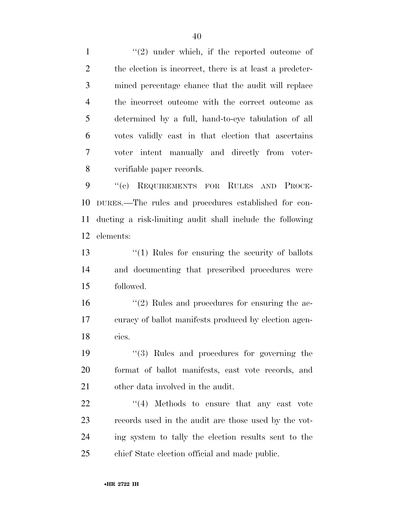$\langle \langle 2 \rangle$  under which, if the reported outcome of the election is incorrect, there is at least a predeter- mined percentage chance that the audit will replace the incorrect outcome with the correct outcome as determined by a full, hand-to-eye tabulation of all votes validly cast in that election that ascertains voter intent manually and directly from voter-verifiable paper records.

 ''(c) REQUIREMENTS FOR RULES AND PROCE- DURES.—The rules and procedures established for con- ducting a risk-limiting audit shall include the following elements:

 ''(1) Rules for ensuring the security of ballots and documenting that prescribed procedures were followed.

16 ''(2) Rules and procedures for ensuring the ac- curacy of ballot manifests produced by election agen-cies.

 ''(3) Rules and procedures for governing the format of ballot manifests, cast vote records, and other data involved in the audit.

22 ''(4) Methods to ensure that any cast vote records used in the audit are those used by the vot- ing system to tally the election results sent to the chief State election official and made public.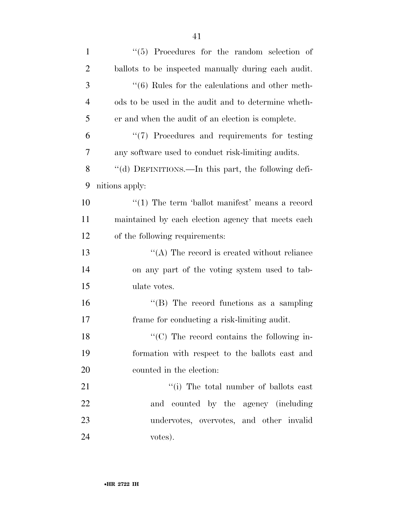| $\mathbf{1}$   | $\lq(5)$ Procedures for the random selection of             |
|----------------|-------------------------------------------------------------|
| $\overline{2}$ | ballots to be inspected manually during each audit.         |
| 3              | $\cdot\cdot$ (6) Rules for the calculations and other meth- |
| 4              | ods to be used in the audit and to determine wheth-         |
| 5              | er and when the audit of an election is complete.           |
| 6              | $\lq(7)$ Procedures and requirements for testing            |
| 7              | any software used to conduct risk-limiting audits.          |
| 8              | "(d) DEFINITIONS.—In this part, the following defi-         |
| 9              | nitions apply:                                              |
| 10             | $\lq(1)$ The term 'ballot manifest' means a record          |
| 11             | maintained by each election agency that meets each          |
| 12             | of the following requirements:                              |
| 13             | $\lq\lq$ . The record is created without reliance           |
| 14             | on any part of the voting system used to tab-               |
| 15             | ulate votes.                                                |
| 16             | $\lq\lq (B)$ The record functions as a sampling             |
| 17             | frame for conducting a risk-limiting audit.                 |
| 18             | $\lq\lq$ (C) The record contains the following in-          |
| 19             | formation with respect to the ballots cast and              |
| 20             | counted in the election:                                    |
| 21             | $\lq\lq$ (i) The total number of ballots cast               |
| 22             | and counted by the agency (including                        |
| 23             | undervotes, overvotes, and other invalid                    |
| 24             | votes).                                                     |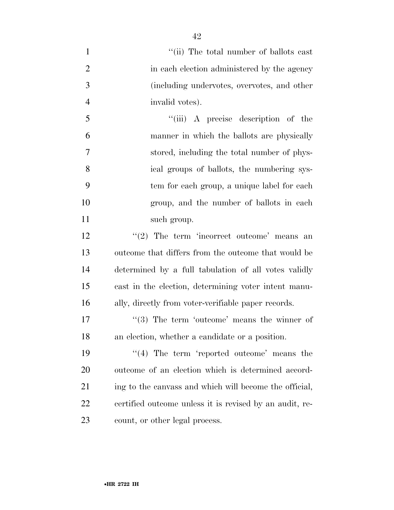| $\mathbf{1}$   | "(ii) The total number of ballots cast                  |
|----------------|---------------------------------------------------------|
| $\overline{2}$ | in each election administered by the agency             |
| 3              | (including undervotes, overvotes, and other             |
| $\overline{4}$ | invalid votes).                                         |
| 5              | "(iii) A precise description of the                     |
| 6              | manner in which the ballots are physically              |
| 7              | stored, including the total number of phys-             |
| 8              | ical groups of ballots, the numbering sys-              |
| 9              | tem for each group, a unique label for each             |
| 10             | group, and the number of ballots in each                |
| 11             | such group.                                             |
| 12             | $(2)$ The term 'incorrect outcome' means an             |
| 13             | outcome that differs from the outcome that would be     |
| 14             | determined by a full tabulation of all votes validly    |
| 15             | cast in the election, determining voter intent manu-    |
| 16             | ally, directly from voter-verifiable paper records.     |
| 17             | $(3)$ The term 'outcome' means the winner of            |
| 18             | an election, whether a candidate or a position.         |
| 19             | $\lq(4)$ The term 'reported outcome' means the          |
| 20             | outcome of an election which is determined accord-      |
| 21             | ing to the canvass and which will become the official,  |
| 22             | certified outcome unless it is revised by an audit, re- |

count, or other legal process.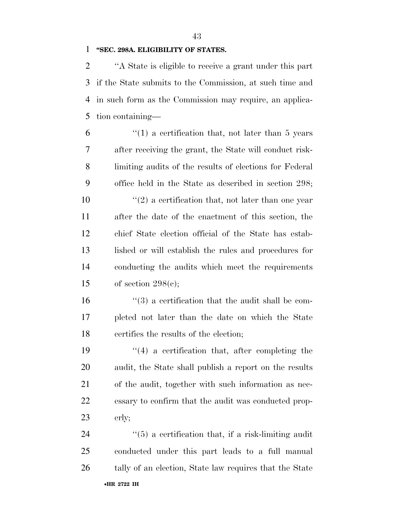#### **''SEC. 298A. ELIGIBILITY OF STATES.**

 ''A State is eligible to receive a grant under this part if the State submits to the Commission, at such time and in such form as the Commission may require, an applica-tion containing—

- $\frac{6}{10}$  <sup>"</sup>(1) a certification that, not later than 5 years after receiving the grant, the State will conduct risk- limiting audits of the results of elections for Federal office held in the State as described in section 298; 10  $\frac{1}{2}$  a certification that, not later than one year after the date of the enactment of this section, the chief State election official of the State has estab- lished or will establish the rules and procedures for conducting the audits which meet the requirements 15 of section  $298(c)$ ;
- $\frac{16}{16}$  ''(3) a certification that the audit shall be com- pleted not later than the date on which the State certifies the results of the election;
- ''(4) a certification that, after completing the audit, the State shall publish a report on the results of the audit, together with such information as nec- essary to confirm that the audit was conducted prop-erly;

•**HR 2722 IH** ''(5) a certification that, if a risk-limiting audit conducted under this part leads to a full manual tally of an election, State law requires that the State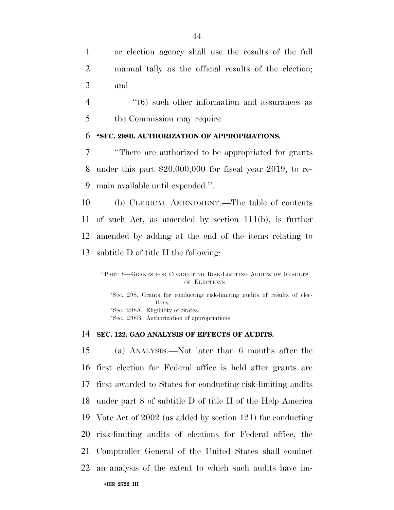or election agency shall use the results of the full manual tally as the official results of the election; and

4  $(6)$  such other information and assurances as the Commission may require.

#### **''SEC. 298B. AUTHORIZATION OF APPROPRIATIONS.**

 ''There are authorized to be appropriated for grants under this part \$20,000,000 for fiscal year 2019, to re-main available until expended.''.

 (b) CLERICAL AMENDMENT.—The table of contents of such Act, as amended by section 111(b), is further amended by adding at the end of the items relating to subtitle D of title II the following:

''PART 8—GRANTS FOR CONDUCTING RISK-LIMITING AUDITS OF RESULTS OF ELECTIONS

''Sec. 298. Grants for conducting risk-limiting audits of results of elections. ''Sec. 298A. Eligibility of States. ''Sec. 298B. Authorization of appropriations.

#### **SEC. 122. GAO ANALYSIS OF EFFECTS OF AUDITS.**

 (a) ANALYSIS.—Not later than 6 months after the first election for Federal office is held after grants are first awarded to States for conducting risk-limiting audits under part 8 of subtitle D of title II of the Help America Vote Act of 2002 (as added by section 121) for conducting risk-limiting audits of elections for Federal office, the Comptroller General of the United States shall conduct an analysis of the extent to which such audits have im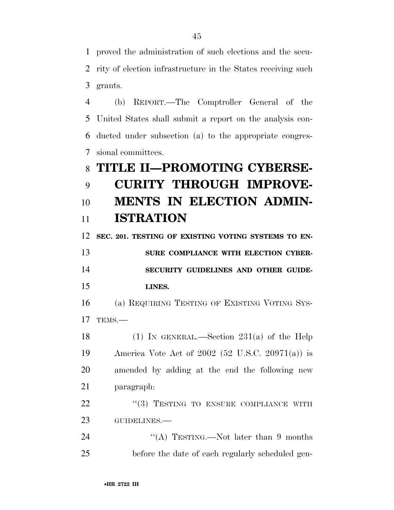proved the administration of such elections and the secu- rity of election infrastructure in the States receiving such grants.

 (b) REPORT.—The Comptroller General of the United States shall submit a report on the analysis con- ducted under subsection (a) to the appropriate congres-sional committees.

# **TITLE II—PROMOTING CYBERSE- CURITY THROUGH IMPROVE- MENTS IN ELECTION ADMIN-ISTRATION**

 **SEC. 201. TESTING OF EXISTING VOTING SYSTEMS TO EN- SURE COMPLIANCE WITH ELECTION CYBER- SECURITY GUIDELINES AND OTHER GUIDE-LINES.** 

 (a) REQUIRING TESTING OF EXISTING VOTING SYS-TEMS.—

 (1) IN GENERAL.—Section 231(a) of the Help America Vote Act of 2002 (52 U.S.C. 20971(a)) is amended by adding at the end the following new paragraph:

22 "(3) TESTING TO ENSURE COMPLIANCE WITH GUIDELINES.—

24 "'(A) TESTING.—Not later than 9 months before the date of each regularly scheduled gen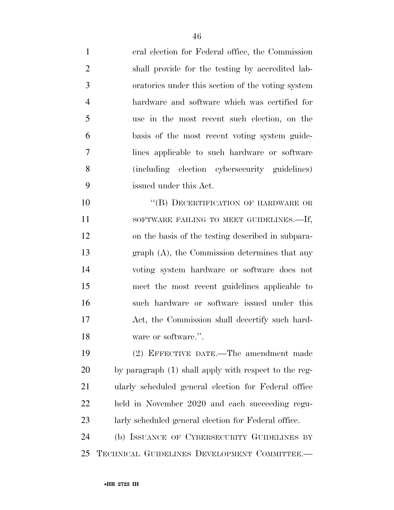eral election for Federal office, the Commission shall provide for the testing by accredited lab- oratories under this section of the voting system hardware and software which was certified for use in the most recent such election, on the basis of the most recent voting system guide- lines applicable to such hardware or software (including election cybersecurity guidelines) issued under this Act.

10 "(B) DECERTIFICATION OF HARDWARE OR 11 SOFTWARE FAILING TO MEET GUIDELINES.—If, on the basis of the testing described in subpara- graph (A), the Commission determines that any voting system hardware or software does not meet the most recent guidelines applicable to such hardware or software issued under this Act, the Commission shall decertify such hard-18 ware or software.".

 (2) EFFECTIVE DATE.—The amendment made by paragraph (1) shall apply with respect to the reg- ularly scheduled general election for Federal office held in November 2020 and each succeeding regu-larly scheduled general election for Federal office.

 (b) ISSUANCE OF CYBERSECURITY GUIDELINES BY TECHNICAL GUIDELINES DEVELOPMENT COMMITTEE.—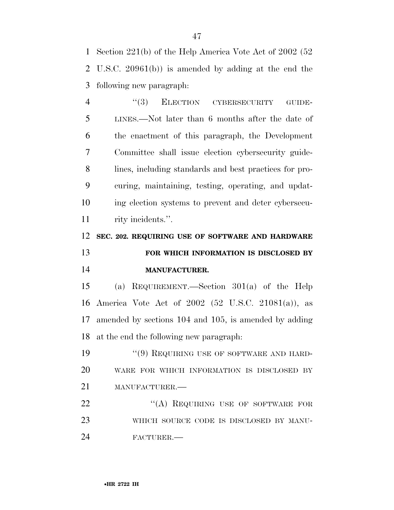Section 221(b) of the Help America Vote Act of 2002 (52 U.S.C. 20961(b)) is amended by adding at the end the following new paragraph:

4 "(3) ELECTION CYBERSECURITY GUIDE- LINES.—Not later than 6 months after the date of the enactment of this paragraph, the Development Committee shall issue election cybersecurity guide- lines, including standards and best practices for pro- curing, maintaining, testing, operating, and updat- ing election systems to prevent and deter cybersecu-rity incidents.''.

 **SEC. 202. REQUIRING USE OF SOFTWARE AND HARDWARE FOR WHICH INFORMATION IS DISCLOSED BY** 

### **MANUFACTURER.**

 (a) REQUIREMENT.—Section 301(a) of the Help America Vote Act of 2002 (52 U.S.C. 21081(a)), as amended by sections 104 and 105, is amended by adding at the end the following new paragraph:

19 "(9) REQUIRING USE OF SOFTWARE AND HARD- WARE FOR WHICH INFORMATION IS DISCLOSED BY MANUFACTURER.—

22 "(A) REQUIRING USE OF SOFTWARE FOR 23 WHICH SOURCE CODE IS DISCLOSED BY MANU-FACTURER.—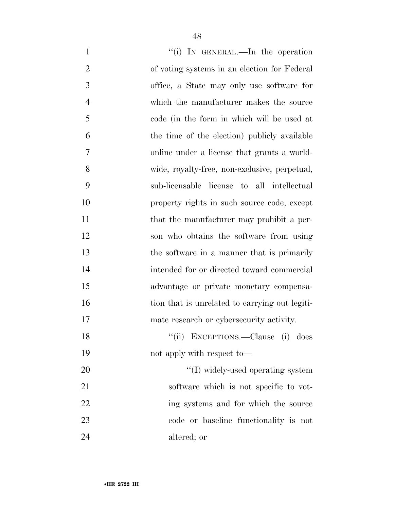| $\mathbf{1}$   | "(i) IN GENERAL.—In the operation              |
|----------------|------------------------------------------------|
| $\overline{2}$ | of voting systems in an election for Federal   |
| 3              | office, a State may only use software for      |
| $\overline{4}$ | which the manufacturer makes the source        |
| 5              | code (in the form in which will be used at     |
| 6              | the time of the election) publicly available   |
| 7              | online under a license that grants a world-    |
| 8              | wide, royalty-free, non-exclusive, perpetual,  |
| 9              | sub-licensable license to all intellectual     |
| 10             | property rights in such source code, except    |
| 11             | that the manufacturer may prohibit a per-      |
| 12             | son who obtains the software from using        |
| 13             | the software in a manner that is primarily     |
| 14             | intended for or directed toward commercial     |
| 15             | advantage or private monetary compensa-        |
| 16             | tion that is unrelated to carrying out legiti- |
| 17             | mate research or cybersecurity activity.       |
| 18             | "(ii) EXCEPTIONS.—Clause (i) does              |
| 19             | not apply with respect to—                     |
| 20             | "(I) widely-used operating system              |
| 21             | software which is not specific to vot-         |
| 22             | ing systems and for which the source           |
| 23             | code or baseline functionality is not          |
| 24             | altered; or                                    |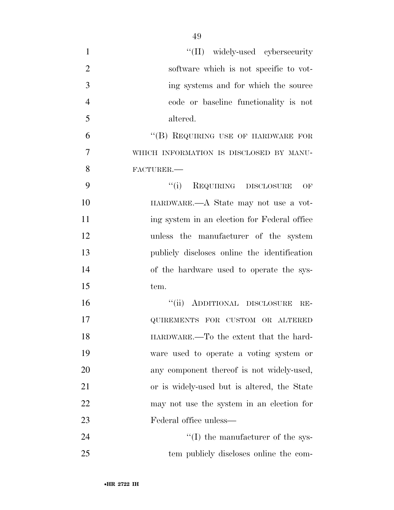| $\mathbf{1}$   | "(II) widely-used cybersecurity              |
|----------------|----------------------------------------------|
| $\overline{2}$ | software which is not specific to vot-       |
| 3              | ing systems and for which the source         |
| $\overline{4}$ | code or baseline functionality is not        |
| 5              | altered.                                     |
| 6              | "(B) REQUIRING USE OF HARDWARE FOR           |
| 7              | WHICH INFORMATION IS DISCLOSED BY MANU-      |
| 8              | FACTURER.-                                   |
| 9              | REQUIRING DISCLOSURE<br>``(i)<br>OF          |
| 10             | HARDWARE.—A State may not use a vot-         |
| 11             | ing system in an election for Federal office |
| 12             | unless the manufacturer of the system        |
| 13             | publicly discloses online the identification |
| 14             | of the hardware used to operate the sys-     |
| 15             | tem.                                         |
| 16             | "(ii) ADDITIONAL DISCLOSURE<br>$RE-$         |
| 17             | QUIREMENTS FOR CUSTOM OR ALTERED             |
| 18             | HARDWARE.—To the extent that the hard-       |
| 19             | ware used to operate a voting system or      |
| 20             | any component thereof is not widely-used,    |
| 21             | or is widely-used but is altered, the State  |
| 22             | may not use the system in an election for    |
| 23             | Federal office unless—                       |
| 24             | $\lq$ (I) the manufacturer of the sys-       |
| 25             | tem publicly discloses online the com-       |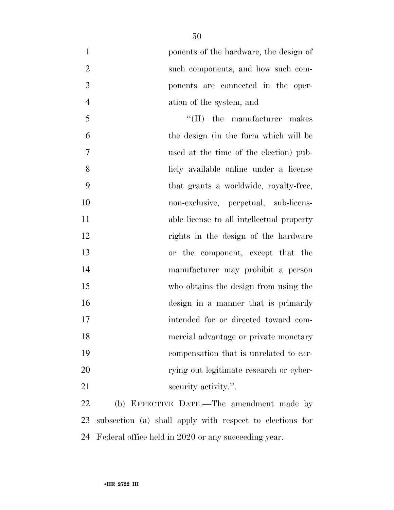| $\mathbf{1}$   | ponents of the hardware, the design of                   |
|----------------|----------------------------------------------------------|
| $\overline{2}$ | such components, and how such com-                       |
| 3              | ponents are connected in the oper-                       |
| $\overline{4}$ | ation of the system; and                                 |
| 5              | $\lq\lq$ (II) the manufacturer makes                     |
| 6              | the design (in the form which will be                    |
| 7              | used at the time of the election) pub-                   |
| 8              | licht available online under a license                   |
| 9              | that grants a worldwide, royalty-free,                   |
| 10             | non-exclusive, perpetual, sub-licens-                    |
| 11             | able license to all intellectual property                |
| 12             | rights in the design of the hardware                     |
| 13             | or the component, except that the                        |
| 14             | manufacturer may prohibit a person                       |
| 15             | who obtains the design from using the                    |
| 16             | design in a manner that is primarily                     |
| 17             | intended for or directed toward com-                     |
| 18             | mercial advantage or private monetary                    |
| 19             | compensation that is unrelated to car-                   |
| 20             | rying out legitimate research or cyber-                  |
| 21             | security activity.".                                     |
| 22             | (b) EFFECTIVE DATE.—The amendment made by                |
| 23             | subsection (a) shall apply with respect to elections for |
| 24             | Federal office held in 2020 or any succeeding year.      |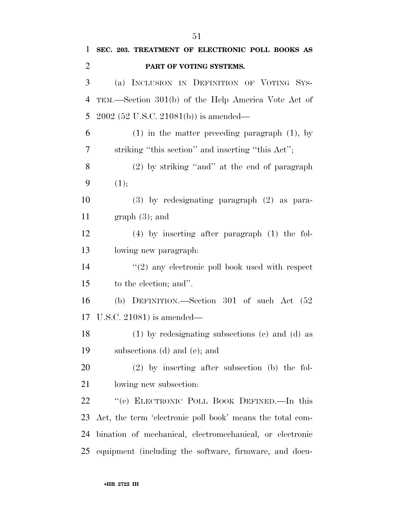| $\mathbf{1}$   | SEC. 203. TREATMENT OF ELECTRONIC POLL BOOKS AS           |
|----------------|-----------------------------------------------------------|
| $\overline{2}$ | PART OF VOTING SYSTEMS.                                   |
| 3              | (a) INCLUSION IN DEFINITION OF VOTING SYS-                |
| 4              | TEM.—Section 301(b) of the Help America Vote Act of       |
| 5              | $2002$ (52 U.S.C. 21081(b)) is amended—                   |
| 6              | $(1)$ in the matter preceding paragraph $(1)$ , by        |
| 7              | striking "this section" and inserting "this Act";         |
| 8              | (2) by striking "and" at the end of paragraph             |
| 9              | (1);                                                      |
| 10             | $(3)$ by redesignating paragraph $(2)$ as para-           |
| 11             | $graph(3);$ and                                           |
| 12             | $(4)$ by inserting after paragraph $(1)$ the fol-         |
| 13             | lowing new paragraph.                                     |
| 14             | $\lq(2)$ any electronic poll book used with respect       |
| 15             | to the election; and".                                    |
| 16             | (b) DEFINITION.—Section $301$ of such Act $(52)$          |
| 17             | U.S.C. 21081) is amended—                                 |
| 18             | (1) by redesignating subsections (c) and (d) as           |
| 19             | subsections (d) and (e); and                              |
| 20             | $(2)$ by inserting after subsection (b) the fol-          |
| 21             | lowing new subsection:                                    |
| 22             | "(c) ELECTRONIC POLL BOOK DEFINED.—In this                |
| 23             | Act, the term 'electronic poll book' means the total com- |
| 24             | bination of mechanical, electromechanical, or electronic  |
| 25             | equipment (including the software, firmware, and docu-    |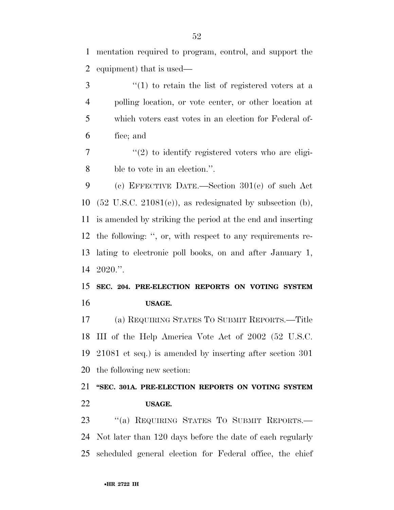mentation required to program, control, and support the equipment) that is used—

 ''(1) to retain the list of registered voters at a polling location, or vote center, or other location at which voters cast votes in an election for Federal of-fice; and

 ''(2) to identify registered voters who are eligi-ble to vote in an election.''.

 (c) EFFECTIVE DATE.—Section 301(e) of such Act  $(52 \text{ U.S.C. } 21081(e))$ , as redesignated by subsection (b), is amended by striking the period at the end and inserting the following: '', or, with respect to any requirements re- lating to electronic poll books, on and after January 1, 2020.''.

 **SEC. 204. PRE-ELECTION REPORTS ON VOTING SYSTEM USAGE.** 

 (a) REQUIRING STATES TO SUBMIT REPORTS.—Title III of the Help America Vote Act of 2002 (52 U.S.C. 21081 et seq.) is amended by inserting after section 301 the following new section:

 **''SEC. 301A. PRE-ELECTION REPORTS ON VOTING SYSTEM USAGE.** 

23 "(a) REQUIRING STATES TO SUBMIT REPORTS.— Not later than 120 days before the date of each regularly scheduled general election for Federal office, the chief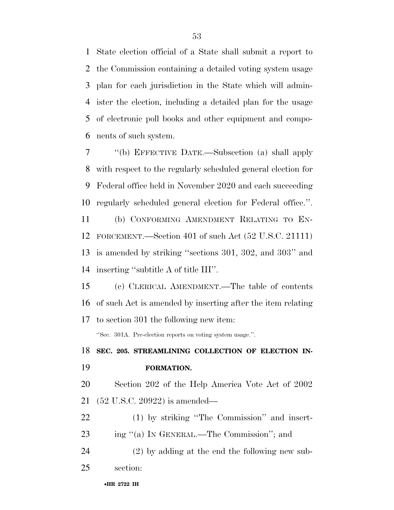State election official of a State shall submit a report to the Commission containing a detailed voting system usage plan for each jurisdiction in the State which will admin- ister the election, including a detailed plan for the usage of electronic poll books and other equipment and compo-nents of such system.

 ''(b) EFFECTIVE DATE.—Subsection (a) shall apply with respect to the regularly scheduled general election for Federal office held in November 2020 and each succeeding regularly scheduled general election for Federal office.''.

 (b) CONFORMING AMENDMENT RELATING TO EN- FORCEMENT.—Section 401 of such Act (52 U.S.C. 21111) is amended by striking ''sections 301, 302, and 303'' and inserting ''subtitle A of title III''.

 (c) CLERICAL AMENDMENT.—The table of contents of such Act is amended by inserting after the item relating to section 301 the following new item:

''Sec. 301A. Pre-election reports on voting system usage.''.

## **SEC. 205. STREAMLINING COLLECTION OF ELECTION IN-FORMATION.**

 Section 202 of the Help America Vote Act of 2002 (52 U.S.C. 20922) is amended—

(1) by striking ''The Commission'' and insert-

ing ''(a) IN GENERAL.—The Commission''; and

(2) by adding at the end the following new sub-

section: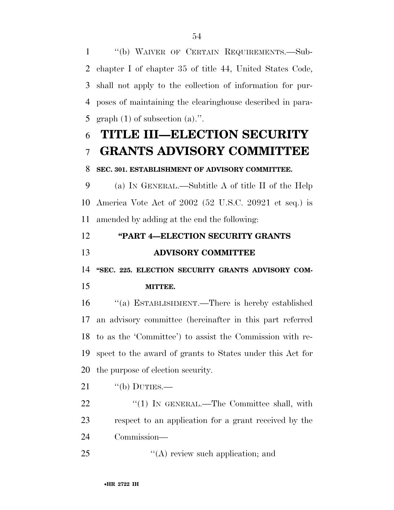''(b) WAIVER OF CERTAIN REQUIREMENTS.—Sub- chapter I of chapter 35 of title 44, United States Code, shall not apply to the collection of information for pur- poses of maintaining the clearinghouse described in para-5 graph  $(1)$  of subsection  $(a)$ .".

# **TITLE III—ELECTION SECURITY GRANTS ADVISORY COMMITTEE**

#### **SEC. 301. ESTABLISHMENT OF ADVISORY COMMITTEE.**

 (a) IN GENERAL.—Subtitle A of title II of the Help America Vote Act of 2002 (52 U.S.C. 20921 et seq.) is amended by adding at the end the following:

## **''PART 4—ELECTION SECURITY GRANTS**

**''SEC. 225. ELECTION SECURITY GRANTS ADVISORY COM-**

### **MITTEE.**

**ADVISORY COMMITTEE** 

 ''(a) ESTABLISHMENT.—There is hereby established an advisory committee (hereinafter in this part referred to as the 'Committee') to assist the Commission with re- spect to the award of grants to States under this Act for the purpose of election security.

"(b) DUTIES.—

22 "(1) IN GENERAL.—The Committee shall, with respect to an application for a grant received by the Commission—

25  $\frac{1}{2}$  (A) review such application; and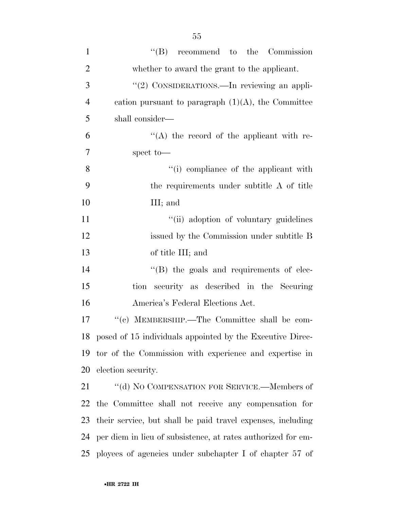| $\mathbf{1}$   | $\lq\lq (B)$ recommend to the Commission                     |
|----------------|--------------------------------------------------------------|
| $\overline{2}$ | whether to award the grant to the applicant.                 |
| 3              | "(2) CONSIDERATIONS.—In reviewing an appli-                  |
| $\overline{4}$ | cation pursuant to paragraph $(1)(A)$ , the Committee        |
| 5              | shall consider—                                              |
| 6              | "(A) the record of the applicant with re-                    |
| 7              | spect to-                                                    |
| 8              | "(i) compliance of the applicant with                        |
| 9              | the requirements under subtitle A of title                   |
| 10             | III; and                                                     |
| 11             | "(ii) adoption of voluntary guidelines                       |
| 12             | issued by the Commission under subtitle B                    |
| 13             | of title III; and                                            |
| 14             | "(B) the goals and requirements of elec-                     |
| 15             | tion security as described in the Securing                   |
| 16             | America's Federal Elections Act.                             |
| 17             | "(c) MEMBERSHIP.—The Committee shall be com-                 |
|                | 18 posed of 15 individuals appointed by the Executive Direc- |
| 19             | tor of the Commission with experience and expertise in       |
| 20             | election security.                                           |
| 21             | "(d) NO COMPENSATION FOR SERVICE.—Members of                 |
| 22             | the Committee shall not receive any compensation for         |
| 23             | their service, but shall be paid travel expenses, including  |
| 24             | per diem in lieu of subsistence, at rates authorized for em- |
| 25             | ployees of agencies under subchapter I of chapter 57 of      |

•**HR 2722 IH**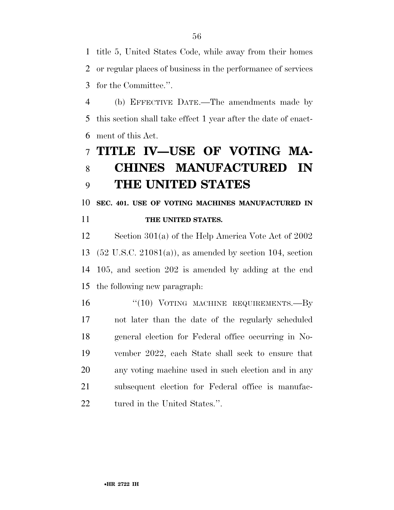title 5, United States Code, while away from their homes or regular places of business in the performance of services for the Committee.''.

 (b) EFFECTIVE DATE.—The amendments made by this section shall take effect 1 year after the date of enact-ment of this Act.

# **TITLE IV—USE OF VOTING MA- CHINES MANUFACTURED IN THE UNITED STATES**

## **SEC. 401. USE OF VOTING MACHINES MANUFACTURED IN THE UNITED STATES.**

 Section 301(a) of the Help America Vote Act of 2002 (52 U.S.C. 21081(a)), as amended by section 104, section 105, and section 202 is amended by adding at the end the following new paragraph:

16 "(10) VOTING MACHINE REQUIREMENTS. - By not later than the date of the regularly scheduled general election for Federal office occurring in No- vember 2022, each State shall seek to ensure that any voting machine used in such election and in any subsequent election for Federal office is manufac-22 tured in the United States.".